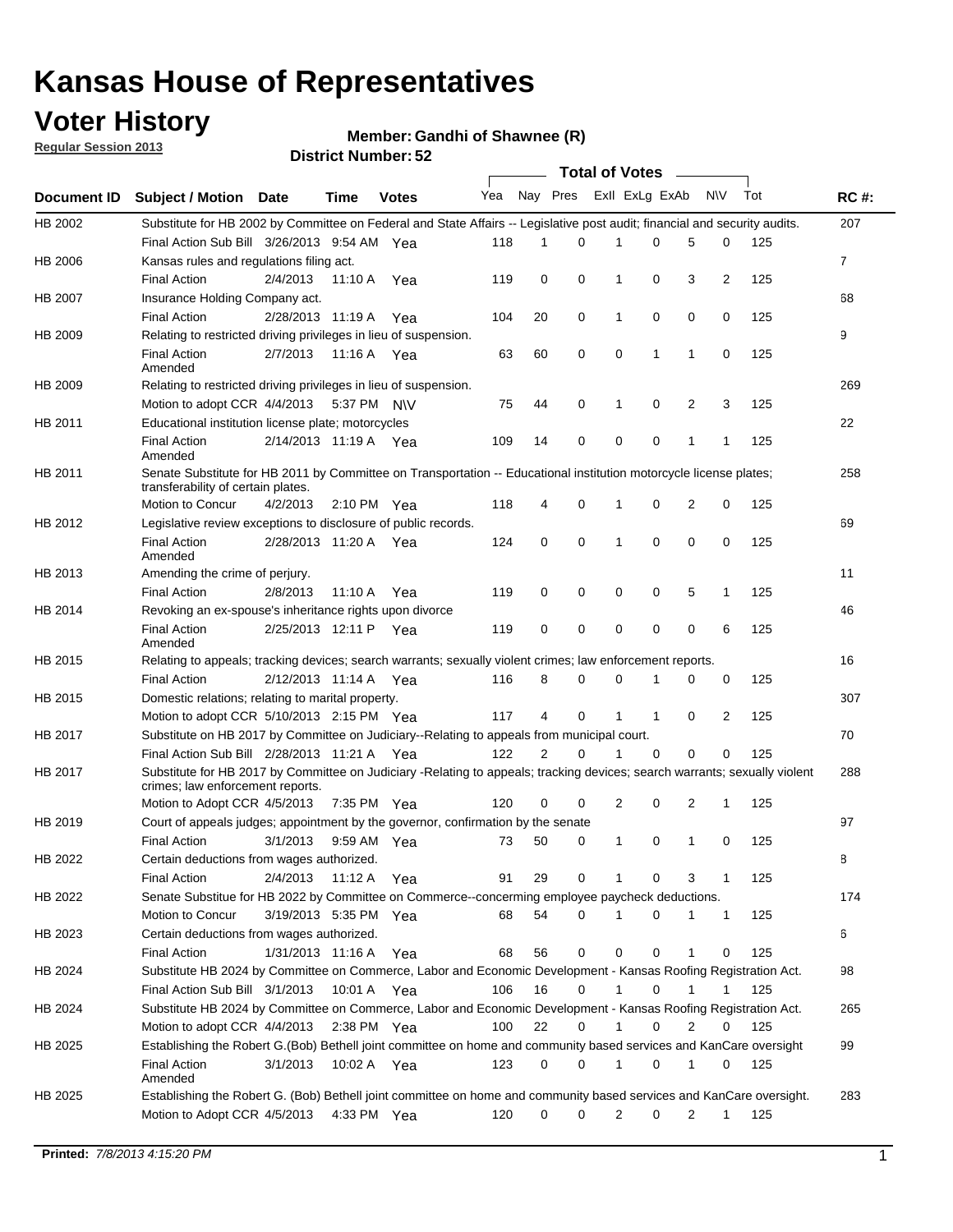## **Voter History**

**Member: Gandhi of Shawnee (R)** 

**Regular Session 2013**

|                    |                                                                                                                                                                |                       | <b>בע. וסעווווט<del>כ</del>ו</b> ועומו |              |              |    | Total of Votes _____ |                |              |                |                |     |                |
|--------------------|----------------------------------------------------------------------------------------------------------------------------------------------------------------|-----------------------|----------------------------------------|--------------|--------------|----|----------------------|----------------|--------------|----------------|----------------|-----|----------------|
| <b>Document ID</b> | <b>Subject / Motion Date</b>                                                                                                                                   |                       | Time                                   | <b>Votes</b> | Yea Nay Pres |    |                      | Exll ExLg ExAb |              |                | N\V            | Tot | <b>RC#:</b>    |
| HB 2002            | Substitute for HB 2002 by Committee on Federal and State Affairs -- Legislative post audit; financial and security audits.                                     |                       |                                        |              |              |    |                      |                |              |                |                |     | 207            |
|                    | Final Action Sub Bill 3/26/2013 9:54 AM Yea                                                                                                                    |                       |                                        |              | 118          | 1  | $\Omega$             |                | 0            | 5              | 0              | 125 |                |
| HB 2006            | Kansas rules and regulations filing act.                                                                                                                       |                       |                                        |              |              |    |                      |                |              |                |                |     | $\overline{7}$ |
|                    | <b>Final Action</b>                                                                                                                                            | 2/4/2013              | 11:10 A Yea                            |              | 119          | 0  | 0                    | 1              | 0            | 3              | $\overline{2}$ | 125 |                |
| HB 2007            | Insurance Holding Company act.                                                                                                                                 |                       |                                        |              |              |    |                      |                |              |                |                |     | 68             |
|                    | <b>Final Action</b>                                                                                                                                            | 2/28/2013 11:19 A     |                                        | Yea          | 104          | 20 | 0                    | 1              | 0            | 0              | 0              | 125 |                |
| HB 2009            | Relating to restricted driving privileges in lieu of suspension.                                                                                               |                       |                                        |              |              |    |                      |                |              |                |                |     | 9              |
|                    | <b>Final Action</b><br>Amended                                                                                                                                 | 2/7/2013              | 11:16 A Yea                            |              | 63           | 60 | 0                    | 0              | 1            | 1              | 0              | 125 |                |
| HB 2009            | Relating to restricted driving privileges in lieu of suspension.                                                                                               |                       |                                        |              |              |    |                      |                |              |                |                |     | 269            |
|                    | Motion to adopt CCR 4/4/2013                                                                                                                                   |                       | 5:37 PM N\V                            |              | 75           | 44 | 0                    | 1              | 0            | 2              | 3              | 125 |                |
| HB 2011            | Educational institution license plate; motorcycles                                                                                                             |                       |                                        |              |              |    |                      |                |              |                |                |     | 22             |
|                    | <b>Final Action</b><br>Amended                                                                                                                                 | 2/14/2013 11:19 A Yea |                                        |              | 109          | 14 | 0                    | 0              | 0            | 1              | 1              | 125 |                |
| HB 2011            | Senate Substitute for HB 2011 by Committee on Transportation -- Educational institution motorcycle license plates;                                             |                       |                                        |              |              |    |                      |                |              |                |                |     | 258            |
|                    | transferability of certain plates.                                                                                                                             |                       |                                        |              |              |    |                      |                |              |                |                |     |                |
|                    | Motion to Concur                                                                                                                                               | 4/2/2013              | $2:10 \text{ PM}$ Yea                  |              | 118          | 4  | 0                    | $\mathbf 1$    | 0            | $\overline{2}$ | 0              | 125 |                |
| HB 2012            | Legislative review exceptions to disclosure of public records.                                                                                                 |                       |                                        |              |              |    |                      |                |              |                |                |     | 69             |
|                    | <b>Final Action</b><br>Amended                                                                                                                                 | 2/28/2013 11:20 A Yea |                                        |              | 124          | 0  | 0                    | 1              | 0            | 0              | 0              | 125 |                |
| HB 2013            | Amending the crime of perjury.                                                                                                                                 |                       |                                        |              |              |    |                      |                |              |                |                |     | 11             |
|                    | <b>Final Action</b>                                                                                                                                            | 2/8/2013              | 11:10 A                                | Yea          | 119          | 0  | 0                    | 0              | 0            | 5              | 1              | 125 |                |
| HB 2014            | Revoking an ex-spouse's inheritance rights upon divorce                                                                                                        |                       |                                        |              |              |    |                      |                |              |                |                |     | 46             |
|                    | <b>Final Action</b><br>Amended                                                                                                                                 | 2/25/2013 12:11 P     |                                        | Yea          | 119          | 0  | $\mathbf 0$          | 0              | 0            | 0              | 6              | 125 |                |
| HB 2015            | Relating to appeals; tracking devices; search warrants; sexually violent crimes; law enforcement reports.                                                      |                       |                                        |              |              |    |                      |                |              |                |                |     | 16             |
|                    | <b>Final Action</b>                                                                                                                                            | 2/12/2013 11:14 A     |                                        | Yea          | 116          | 8  | 0                    | 0              | 1            | 0              | 0              | 125 |                |
| HB 2015            | Domestic relations; relating to marital property.                                                                                                              |                       |                                        |              |              |    |                      |                |              |                |                |     | 307            |
|                    | Motion to adopt CCR 5/10/2013 2:15 PM Yea                                                                                                                      |                       |                                        |              | 117          | 4  | 0                    | $\mathbf{1}$   | $\mathbf{1}$ | 0              | 2              | 125 |                |
| HB 2017            | Substitute on HB 2017 by Committee on Judiciary--Relating to appeals from municipal court.                                                                     |                       |                                        |              |              |    |                      |                |              |                |                |     | 70             |
|                    | Final Action Sub Bill 2/28/2013 11:21 A Yea                                                                                                                    |                       |                                        |              | 122          | 2  | 0                    | 1              | 0            | 0              | 0              | 125 |                |
| HB 2017            | Substitute for HB 2017 by Committee on Judiciary -Relating to appeals; tracking devices; search warrants; sexually violent<br>crimes; law enforcement reports. |                       |                                        |              |              |    |                      |                |              |                |                |     | 288            |
|                    | Motion to Adopt CCR 4/5/2013                                                                                                                                   |                       | 7:35 PM Yea                            |              | 120          | 0  | 0                    | 2              | 0            | 2              | 1              | 125 |                |
| HB 2019            | Court of appeals judges; appointment by the governor, confirmation by the senate                                                                               |                       |                                        |              |              |    |                      |                |              |                |                |     | 97             |
|                    | Final Action                                                                                                                                                   | 3/1/2013              | 9:59 AM Yea                            |              | 73           | 50 | 0                    | 1              | 0            | 1              | 0              | 125 |                |
| HB 2022            | Certain deductions from wages authorized.                                                                                                                      |                       |                                        |              |              |    |                      |                |              |                |                |     | 8              |
|                    | <b>Final Action</b>                                                                                                                                            | 2/4/2013              | 11:12 A                                | Yea          | 91           | 29 | 0                    |                | 0            | 3              | 1              | 125 |                |
| HB 2022            | Senate Substitue for HB 2022 by Committee on Commerce--concerming employee paycheck deductions.                                                                |                       |                                        |              |              |    |                      |                |              |                |                |     | 174            |
|                    | Motion to Concur                                                                                                                                               | 3/19/2013 5:35 PM Yea |                                        |              | 68           | 54 | 0                    | 1              | 0            | 1              | $\mathbf{1}$   | 125 |                |
| HB 2023            | Certain deductions from wages authorized.                                                                                                                      |                       |                                        |              |              |    |                      |                |              |                |                |     | 6              |
|                    | Final Action                                                                                                                                                   | 1/31/2013 11:16 A     |                                        | Yea          | 68           | 56 | 0                    | 0              | 0            | 1              | 0              | 125 |                |
| HB 2024            | Substitute HB 2024 by Committee on Commerce, Labor and Economic Development - Kansas Roofing Registration Act.                                                 |                       |                                        |              |              |    |                      |                |              |                |                |     | 98             |
|                    | Final Action Sub Bill 3/1/2013                                                                                                                                 |                       | 10:01 A Yea                            |              | 106          | 16 | 0                    | 1              | 0            | 1              | 1              | 125 |                |
| HB 2024            | Substitute HB 2024 by Committee on Commerce, Labor and Economic Development - Kansas Roofing Registration Act.                                                 |                       |                                        |              |              |    |                      |                |              |                |                |     | 265            |
|                    | Motion to adopt CCR 4/4/2013                                                                                                                                   |                       | 2:38 PM Yea                            |              | 100          | 22 | 0                    | 1              | 0            | 2              | 0              | 125 |                |
| HB 2025            | Establishing the Robert G.(Bob) Bethell joint committee on home and community based services and KanCare oversight                                             |                       |                                        |              |              |    |                      |                |              |                |                |     | 99             |
|                    | <b>Final Action</b><br>Amended                                                                                                                                 | 3/1/2013              | 10:02 A Yea                            |              | 123          | 0  | 0                    | $\mathbf{1}$   | 0            | 1              | 0              | 125 |                |
| HB 2025            | Establishing the Robert G. (Bob) Bethell joint committee on home and community based services and KanCare oversight.                                           |                       |                                        |              |              |    |                      |                |              |                |                |     | 283            |
|                    | Motion to Adopt CCR 4/5/2013                                                                                                                                   |                       | 4:33 PM Yea                            |              | 120          | 0  | 0                    | 2              | 0            | 2              | $\mathbf{1}$   | 125 |                |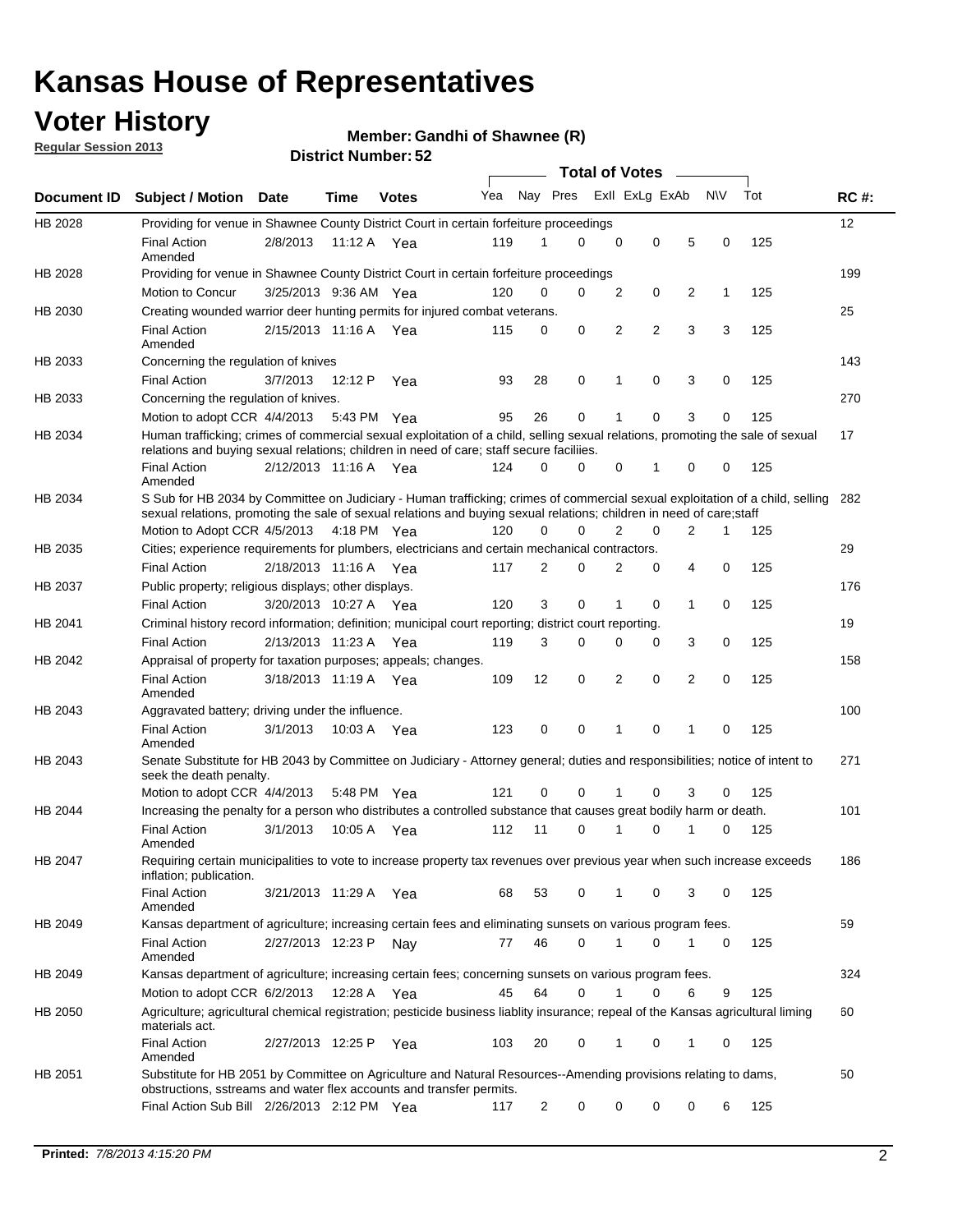## **Voter History**

**Member: Gandhi of Shawnee (R)** 

**Regular Session 2013**

|             |                                                                                                                                                                                                                                                       |                       |         |              |     |                | <b>Total of Votes</b> |             |                |                |           |     |             |
|-------------|-------------------------------------------------------------------------------------------------------------------------------------------------------------------------------------------------------------------------------------------------------|-----------------------|---------|--------------|-----|----------------|-----------------------|-------------|----------------|----------------|-----------|-----|-------------|
| Document ID | <b>Subject / Motion Date</b>                                                                                                                                                                                                                          |                       | Time    | <b>Votes</b> | Yea | Nay Pres       |                       |             | Exll ExLg ExAb |                | <b>NV</b> | Tot | <b>RC#:</b> |
| HB 2028     | Providing for venue in Shawnee County District Court in certain forfeiture proceedings                                                                                                                                                                |                       |         |              |     |                |                       |             |                |                |           |     | 12          |
|             | <b>Final Action</b><br>Amended                                                                                                                                                                                                                        | 2/8/2013              |         | 11:12 A Yea  | 119 | 1              | $\Omega$              | $\mathbf 0$ | 0              | 5              | 0         | 125 |             |
| HB 2028     | Providing for venue in Shawnee County District Court in certain forfeiture proceedings                                                                                                                                                                |                       |         |              |     |                |                       |             |                |                |           |     | 199         |
|             | Motion to Concur                                                                                                                                                                                                                                      | 3/25/2013 9:36 AM Yea |         |              | 120 | 0              | 0                     | 2           | 0              | 2              | 1         | 125 |             |
| HB 2030     | Creating wounded warrior deer hunting permits for injured combat veterans.                                                                                                                                                                            |                       |         |              |     |                |                       |             |                |                |           |     | 25          |
|             | <b>Final Action</b><br>Amended                                                                                                                                                                                                                        | 2/15/2013 11:16 A     |         | Yea          | 115 | 0              | 0                     | 2           | $\overline{2}$ | 3              | 3         | 125 |             |
| HB 2033     | Concerning the regulation of knives                                                                                                                                                                                                                   |                       |         |              |     |                |                       |             |                |                |           |     | 143         |
|             | <b>Final Action</b>                                                                                                                                                                                                                                   | 3/7/2013              | 12:12 P | Yea          | 93  | 28             | 0                     | 1           | 0              | 3              | 0         | 125 |             |
| HB 2033     | Concerning the regulation of knives.                                                                                                                                                                                                                  |                       |         |              |     |                |                       |             |                |                |           |     | 270         |
|             | Motion to adopt CCR 4/4/2013                                                                                                                                                                                                                          |                       |         | 5:43 PM Yea  | 95  | 26             | 0                     |             | 0              | 3              | 0         | 125 |             |
| HB 2034     | Human trafficking; crimes of commercial sexual exploitation of a child, selling sexual relations, promoting the sale of sexual<br>relations and buying sexual relations; children in need of care; staff secure faciliies.                            |                       |         |              |     |                |                       |             |                |                |           |     | 17          |
|             | <b>Final Action</b><br>Amended                                                                                                                                                                                                                        | 2/12/2013 11:16 A Yea |         |              | 124 | $\Omega$       | 0                     | 0           | 1              | 0              | 0         | 125 |             |
| HB 2034     | S Sub for HB 2034 by Committee on Judiciary - Human trafficking; crimes of commercial sexual exploitation of a child, selling<br>sexual relations, promoting the sale of sexual relations and buying sexual relations; children in need of care;staff |                       |         |              |     |                |                       |             |                |                |           |     | 282         |
|             | Motion to Adopt CCR 4/5/2013 4:18 PM Yea                                                                                                                                                                                                              |                       |         |              | 120 | 0              | 0                     | 2           | 0              | $\overline{2}$ | 1         | 125 |             |
| HB 2035     | Cities; experience requirements for plumbers, electricians and certain mechanical contractors.                                                                                                                                                        |                       |         |              |     |                |                       |             |                |                |           |     | 29          |
|             | <b>Final Action</b>                                                                                                                                                                                                                                   | 2/18/2013 11:16 A     |         | Yea          | 117 | 2              | 0                     | 2           | 0              | 4              | 0         | 125 |             |
| HB 2037     | Public property; religious displays; other displays.                                                                                                                                                                                                  |                       |         |              |     |                |                       |             |                |                |           |     | 176         |
|             | <b>Final Action</b>                                                                                                                                                                                                                                   | 3/20/2013 10:27 A     |         | Yea          | 120 | 3              | 0                     | 1           | 0              | 1              | 0         | 125 |             |
| HB 2041     | Criminal history record information; definition; municipal court reporting; district court reporting.                                                                                                                                                 |                       |         |              |     |                |                       |             |                |                |           |     | 19          |
|             | <b>Final Action</b>                                                                                                                                                                                                                                   | 2/13/2013 11:23 A     |         | Yea          | 119 | 3              | 0                     | 0           | 0              | 3              | 0         | 125 |             |
| HB 2042     | Appraisal of property for taxation purposes; appeals; changes.                                                                                                                                                                                        |                       |         |              |     |                |                       |             |                |                |           |     | 158         |
|             | <b>Final Action</b><br>Amended                                                                                                                                                                                                                        | 3/18/2013 11:19 A     |         | Yea          | 109 | 12             | 0                     | 2           | 0              | 2              | 0         | 125 |             |
| HB 2043     | Aggravated battery; driving under the influence.                                                                                                                                                                                                      |                       |         |              |     |                |                       |             |                |                |           |     | 100         |
|             | <b>Final Action</b><br>Amended                                                                                                                                                                                                                        | 3/1/2013              |         | 10:03 A Yea  | 123 | 0              | 0                     |             | 0              | 1              | 0         | 125 |             |
| HB 2043     | Senate Substitute for HB 2043 by Committee on Judiciary - Attorney general; duties and responsibilities; notice of intent to<br>seek the death penalty.                                                                                               |                       |         |              |     |                |                       |             |                |                |           |     | 271         |
|             | Motion to adopt CCR 4/4/2013                                                                                                                                                                                                                          |                       |         | 5:48 PM Yea  | 121 | 0              | 0                     |             | 0              | 3              | 0         | 125 |             |
| HB 2044     | Increasing the penalty for a person who distributes a controlled substance that causes great bodily harm or death.                                                                                                                                    |                       |         |              |     |                |                       |             |                |                |           |     | 101         |
|             | <b>Final Action</b><br>Amended                                                                                                                                                                                                                        | 3/1/2013              | 10:05 A | Yea          | 112 | 11             | 0                     |             | 0              |                | 0         | 125 |             |
| HB 2047     | Requiring certain municipalities to vote to increase property tax revenues over previous year when such increase exceeds<br>inflation; publication.                                                                                                   |                       |         |              |     |                |                       |             |                |                |           |     | 186         |
|             | <b>Final Action</b><br>Amended                                                                                                                                                                                                                        | 3/21/2013 11:29 A Yea |         |              | 68  | 53             | 0                     |             | 0              | 3              | 0         | 125 |             |
| HB 2049     | Kansas department of agriculture; increasing certain fees and eliminating sunsets on various program fees.                                                                                                                                            |                       |         |              |     |                |                       |             |                |                |           |     | 59          |
|             | <b>Final Action</b><br>Amended                                                                                                                                                                                                                        | 2/27/2013 12:23 P     |         | Nav          | 77  | 46             | 0                     | 1           | 0              | 1              | 0         | 125 |             |
| HB 2049     | Kansas department of agriculture; increasing certain fees; concerning sunsets on various program fees.                                                                                                                                                |                       |         |              |     |                |                       |             |                |                |           |     | 324         |
|             | Motion to adopt CCR 6/2/2013                                                                                                                                                                                                                          |                       | 12:28 A | Yea          | 45  | 64             | 0                     |             | 0              | 6              | 9         | 125 |             |
| HB 2050     | Agriculture; agricultural chemical registration; pesticide business liablity insurance; repeal of the Kansas agricultural liming<br>materials act.                                                                                                    |                       |         |              |     |                |                       |             |                |                |           |     | 60          |
|             | <b>Final Action</b><br>Amended                                                                                                                                                                                                                        | 2/27/2013 12:25 P     |         | Yea          | 103 | 20             | 0                     | 1           | 0              | 1              | 0         | 125 |             |
| HB 2051     | Substitute for HB 2051 by Committee on Agriculture and Natural Resources--Amending provisions relating to dams,<br>obstructions, sstreams and water flex accounts and transfer permits.                                                               |                       |         |              |     |                |                       |             |                |                |           |     | 50          |
|             | Final Action Sub Bill 2/26/2013 2:12 PM Yea                                                                                                                                                                                                           |                       |         |              | 117 | $\overline{c}$ | 0                     | 0           | 0              | 0              | 6         | 125 |             |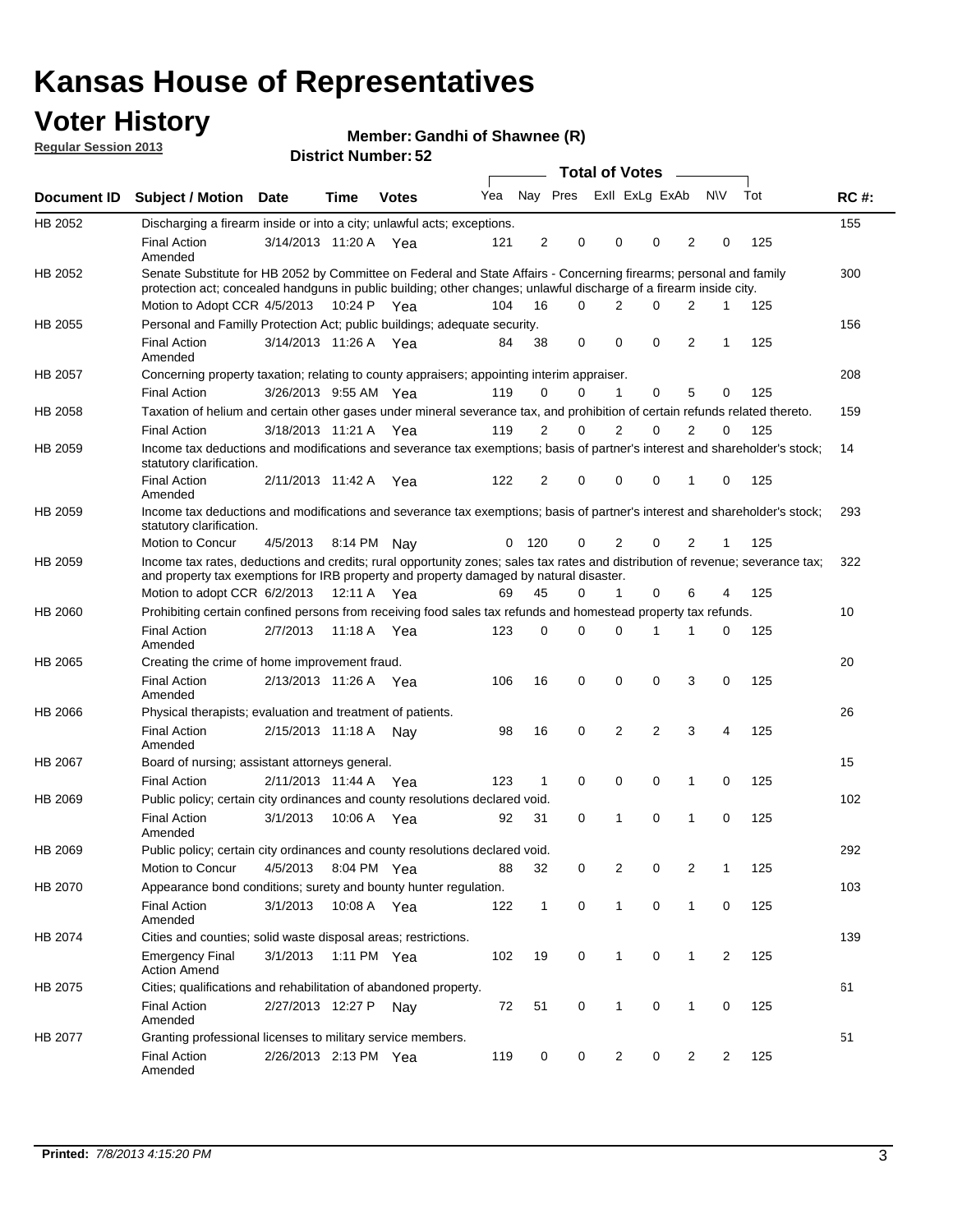## **Voter History**

**Member: Gandhi of Shawnee (R)** 

**Regular Session 2013**

|                |                                                                                                                                                                                                                                          |                       |             |              |     |                         |                         | <b>Total of Votes</b> | $\sim$         |                |                |     |             |
|----------------|------------------------------------------------------------------------------------------------------------------------------------------------------------------------------------------------------------------------------------------|-----------------------|-------------|--------------|-----|-------------------------|-------------------------|-----------------------|----------------|----------------|----------------|-----|-------------|
| Document ID    | <b>Subject / Motion Date</b>                                                                                                                                                                                                             |                       | Time        | <b>Votes</b> | Yea |                         | Nay Pres Exll ExLg ExAb |                       |                |                | N\V            | Tot | <b>RC#:</b> |
| HB 2052        | Discharging a firearm inside or into a city; unlawful acts; exceptions.                                                                                                                                                                  |                       |             |              |     |                         |                         |                       |                |                |                |     | 155         |
|                | <b>Final Action</b><br>Amended                                                                                                                                                                                                           | 3/14/2013 11:20 A Yea |             |              | 121 | $\overline{2}$          | $\mathbf 0$             | 0                     | $\Omega$       | 2              | 0              | 125 |             |
| HB 2052        | Senate Substitute for HB 2052 by Committee on Federal and State Affairs - Concerning firearms; personal and family<br>protection act; concealed handguns in public building; other changes; unlawful discharge of a firearm inside city. |                       |             |              |     |                         |                         |                       |                |                |                |     | 300         |
|                | Motion to Adopt CCR 4/5/2013                                                                                                                                                                                                             |                       | 10:24 P Yea |              | 104 | 16                      | $\Omega$                | 2                     | $\Omega$       | 2              | 1              | 125 |             |
| HB 2055        | Personal and Familly Protection Act; public buildings; adequate security.                                                                                                                                                                |                       |             |              |     |                         |                         |                       |                |                |                |     | 156         |
|                | <b>Final Action</b><br>Amended                                                                                                                                                                                                           | 3/14/2013 11:26 A Yea |             |              | 84  | 38                      | 0                       | 0                     | $\mathbf 0$    | 2              | 1              | 125 |             |
| HB 2057        | Concerning property taxation; relating to county appraisers; appointing interim appraiser.                                                                                                                                               |                       |             |              |     |                         |                         |                       |                |                |                |     | 208         |
|                | <b>Final Action</b>                                                                                                                                                                                                                      | 3/26/2013 9:55 AM Yea |             |              | 119 | 0                       | 0                       | 1                     | 0              | 5              | 0              | 125 |             |
| HB 2058        | Taxation of helium and certain other gases under mineral severance tax, and prohibition of certain refunds related thereto.                                                                                                              |                       |             |              |     |                         |                         |                       |                |                |                |     | 159         |
|                | <b>Final Action</b>                                                                                                                                                                                                                      | 3/18/2013 11:21 A Yea |             |              | 119 | 2                       | 0                       | 2                     | $\Omega$       | 2              | $\Omega$       | 125 |             |
| HB 2059        | Income tax deductions and modifications and severance tax exemptions; basis of partner's interest and shareholder's stock;<br>statutory clarification.                                                                                   |                       |             |              |     |                         |                         |                       |                |                |                |     | 14          |
|                | <b>Final Action</b><br>Amended                                                                                                                                                                                                           | 2/11/2013 11:42 A     |             | Yea          | 122 | $\overline{\mathbf{c}}$ | 0                       | 0                     | 0              | 1              | 0              | 125 |             |
| HB 2059        | Income tax deductions and modifications and severance tax exemptions; basis of partner's interest and shareholder's stock;<br>statutory clarification.                                                                                   |                       |             |              |     |                         |                         |                       |                |                |                |     | 293         |
|                | Motion to Concur                                                                                                                                                                                                                         | 4/5/2013              | 8:14 PM Nay |              | 0   | 120                     | 0                       | 2                     | 0              | 2              | 1              | 125 |             |
| HB 2059        | Income tax rates, deductions and credits; rural opportunity zones; sales tax rates and distribution of revenue; severance tax;<br>and property tax exemptions for IRB property and property damaged by natural disaster.                 |                       |             |              |     |                         |                         |                       |                |                |                |     | 322         |
|                | Motion to adopt CCR 6/2/2013                                                                                                                                                                                                             |                       | 12:11 A Yea |              | 69  | 45                      | 0                       | $\mathbf{1}$          | 0              | 6              | 4              | 125 |             |
| <b>HB 2060</b> | Prohibiting certain confined persons from receiving food sales tax refunds and homestead property tax refunds.                                                                                                                           |                       |             |              |     |                         |                         |                       |                |                |                |     | 10          |
|                | <b>Final Action</b><br>Amended                                                                                                                                                                                                           | 2/7/2013              | 11:18 A     | Yea          | 123 | 0                       | $\Omega$                | 0                     | 1              | 1              | 0              | 125 |             |
| HB 2065        | Creating the crime of home improvement fraud.                                                                                                                                                                                            |                       |             |              |     |                         |                         |                       |                |                |                |     | 20          |
|                | <b>Final Action</b><br>Amended                                                                                                                                                                                                           | 2/13/2013 11:26 A Yea |             |              | 106 | 16                      | 0                       | 0                     | 0              | 3              | 0              | 125 |             |
| HB 2066        | Physical therapists; evaluation and treatment of patients.                                                                                                                                                                               |                       |             |              |     |                         |                         |                       |                |                |                |     | 26          |
|                | <b>Final Action</b><br>Amended                                                                                                                                                                                                           | 2/15/2013 11:18 A     |             | Nav          | 98  | 16                      | 0                       | 2                     | $\overline{2}$ | 3              | 4              | 125 |             |
| <b>HB 2067</b> | Board of nursing; assistant attorneys general.                                                                                                                                                                                           |                       |             |              |     |                         |                         |                       |                |                |                |     | 15          |
|                | <b>Final Action</b>                                                                                                                                                                                                                      | 2/11/2013 11:44 A Yea |             |              | 123 | $\mathbf{1}$            | 0                       | 0                     | $\mathbf 0$    | 1              | 0              | 125 |             |
| HB 2069        | Public policy; certain city ordinances and county resolutions declared void.                                                                                                                                                             |                       |             |              |     |                         |                         |                       |                |                |                |     | 102         |
|                | <b>Final Action</b><br>Amended                                                                                                                                                                                                           | 3/1/2013              | 10:06 A     | Yea          | 92  | 31                      | 0                       | 1                     | 0              | 1              | 0              | 125 |             |
| HB 2069        | Public policy; certain city ordinances and county resolutions declared void.                                                                                                                                                             |                       |             |              |     |                         |                         |                       |                |                |                |     | 292         |
|                | Motion to Concur                                                                                                                                                                                                                         | 4/5/2013 8:04 PM Yea  |             |              | 88  | 32                      | 0                       | 2                     | 0              | $\overline{2}$ | 1              | 125 |             |
| HB 2070        | Appearance bond conditions; surety and bounty hunter regulation.                                                                                                                                                                         |                       |             |              |     |                         |                         |                       |                |                |                |     | 103         |
|                | <b>Final Action</b><br>Amended                                                                                                                                                                                                           | 3/1/2013              | 10:08 A Yea |              | 122 | $\mathbf{1}$            | 0                       | $\mathbf{1}$          | $\mathbf 0$    | $\mathbf{1}$   | 0              | 125 |             |
| HB 2074        | Cities and counties; solid waste disposal areas; restrictions.                                                                                                                                                                           |                       |             |              |     |                         |                         |                       |                |                |                |     | 139         |
|                | <b>Emergency Final</b><br><b>Action Amend</b>                                                                                                                                                                                            | 3/1/2013              |             | 1:11 PM Yea  | 102 | 19                      | 0                       | $\mathbf{1}$          | 0              | $\mathbf{1}$   | $\overline{2}$ | 125 |             |
| HB 2075        | Cities; qualifications and rehabilitation of abandoned property.                                                                                                                                                                         |                       |             |              |     |                         |                         |                       |                |                |                |     | 61          |
|                | <b>Final Action</b><br>Amended                                                                                                                                                                                                           | 2/27/2013 12:27 P     |             | Nav          | 72  | 51                      | 0                       | 1                     | 0              | 1              | 0              | 125 |             |
| HB 2077        | Granting professional licenses to military service members.                                                                                                                                                                              |                       |             |              |     |                         |                         |                       |                |                |                |     | 51          |
|                | <b>Final Action</b><br>Amended                                                                                                                                                                                                           | 2/26/2013 2:13 PM Yea |             |              | 119 | 0                       | 0                       | 2                     | 0              | 2              | 2              | 125 |             |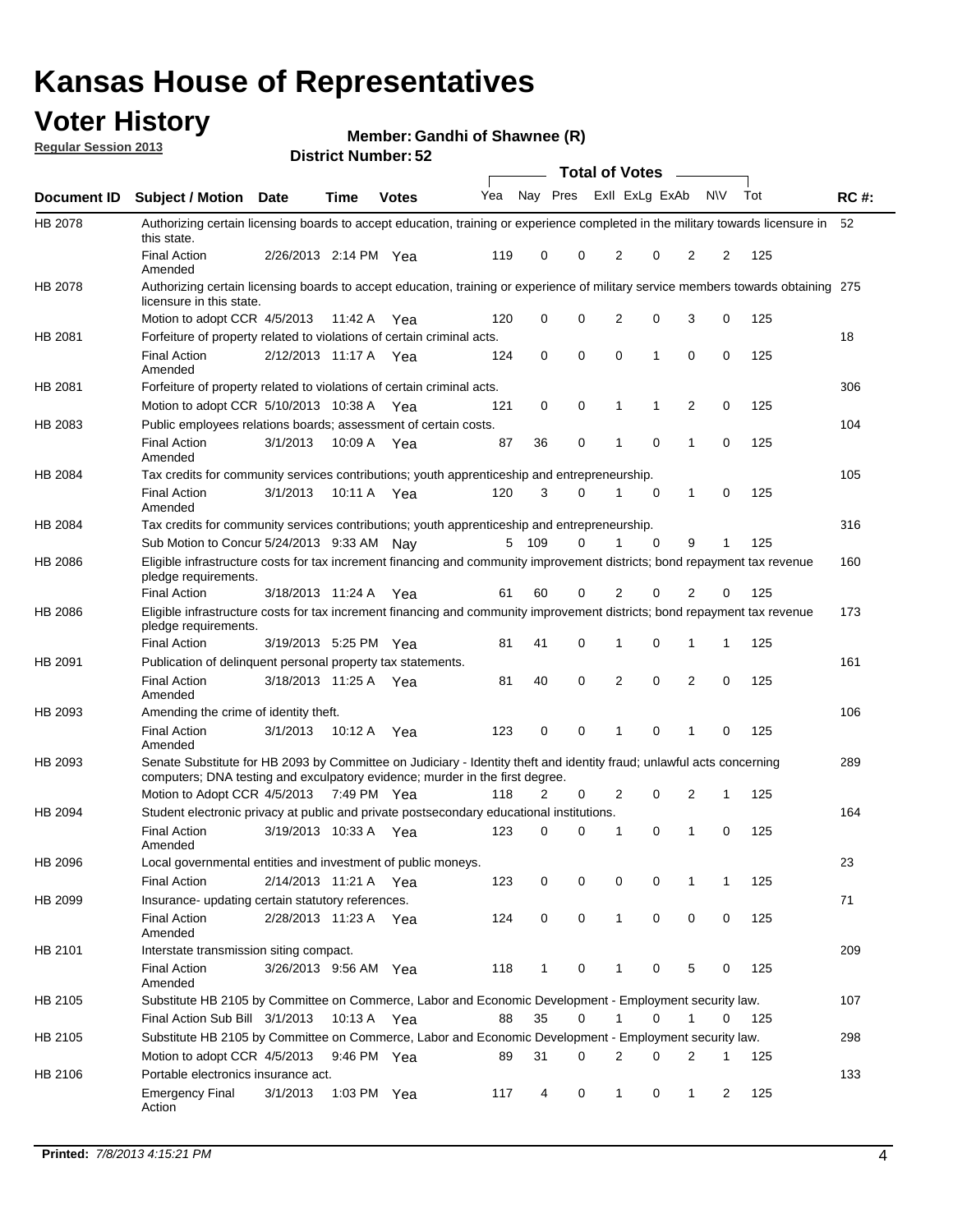## **Voter History**

**Member: Gandhi of Shawnee (R)** 

**Regular Session 2013**

|                    |                                                                                                                                                                                                       |                       | אט <sub>י</sub> וסעווואר ועו ואטוע |              |     |              |             | <b>Total of Votes</b> |   | $\sim$         |           |     |             |
|--------------------|-------------------------------------------------------------------------------------------------------------------------------------------------------------------------------------------------------|-----------------------|------------------------------------|--------------|-----|--------------|-------------|-----------------------|---|----------------|-----------|-----|-------------|
| <b>Document ID</b> | <b>Subject / Motion Date</b>                                                                                                                                                                          |                       | <b>Time</b>                        | <b>Votes</b> | Yea | Nay Pres     |             | Exll ExLg ExAb        |   |                | <b>NV</b> | Tot | <b>RC#:</b> |
| HB 2078            | Authorizing certain licensing boards to accept education, training or experience completed in the military towards licensure in<br>this state.                                                        |                       |                                    |              |     |              |             |                       |   |                |           |     | 52          |
|                    | <b>Final Action</b><br>Amended                                                                                                                                                                        | 2/26/2013 2:14 PM Yea |                                    |              | 119 | 0            | 0           | 2                     | 0 | $\overline{2}$ | 2         | 125 |             |
| HB 2078            | Authorizing certain licensing boards to accept education, training or experience of military service members towards obtaining 275<br>licensure in this state.                                        |                       |                                    |              |     |              |             |                       |   |                |           |     |             |
|                    | Motion to adopt CCR 4/5/2013                                                                                                                                                                          |                       | 11:42 A                            | Yea          | 120 | 0            | $\mathbf 0$ | $\overline{2}$        | 0 | 3              | 0         | 125 |             |
| HB 2081            | Forfeiture of property related to violations of certain criminal acts.                                                                                                                                |                       |                                    |              |     |              |             |                       |   |                |           |     | 18          |
|                    | <b>Final Action</b><br>Amended                                                                                                                                                                        | 2/12/2013 11:17 A Yea |                                    |              | 124 | 0            | 0           | $\Omega$              | 1 | 0              | 0         | 125 |             |
| HB 2081            | Forfeiture of property related to violations of certain criminal acts.                                                                                                                                |                       |                                    |              |     |              |             |                       |   |                |           |     | 306         |
|                    | Motion to adopt CCR 5/10/2013 10:38 A                                                                                                                                                                 |                       |                                    | Yea          | 121 | 0            | 0           | 1                     | 1 | 2              | 0         | 125 |             |
| HB 2083            | Public employees relations boards; assessment of certain costs.                                                                                                                                       |                       |                                    |              |     |              |             |                       |   |                |           |     | 104         |
|                    | <b>Final Action</b><br>Amended                                                                                                                                                                        | 3/1/2013              | 10:09 A                            | Yea          | 87  | 36           | 0           | 1                     | 0 | 1              | 0         | 125 |             |
| HB 2084            | Tax credits for community services contributions; youth apprenticeship and entrepreneurship.                                                                                                          |                       |                                    |              |     |              |             |                       |   |                |           |     | 105         |
|                    | <b>Final Action</b><br>Amended                                                                                                                                                                        | 3/1/2013              | 10:11 A                            | Yea          | 120 | 3            | 0           |                       | 0 | $\mathbf{1}$   | 0         | 125 |             |
| HB 2084            | Tax credits for community services contributions; youth apprenticeship and entrepreneurship.                                                                                                          |                       |                                    |              |     |              |             |                       |   |                |           |     | 316         |
|                    | Sub Motion to Concur 5/24/2013 9:33 AM Nay                                                                                                                                                            |                       |                                    |              | 5   | - 109        | 0           | 1                     | 0 | 9              | 1         | 125 |             |
| HB 2086            | Eligible infrastructure costs for tax increment financing and community improvement districts; bond repayment tax revenue<br>pledge requirements.                                                     |                       |                                    |              |     |              |             |                       |   |                |           |     | 160         |
|                    | <b>Final Action</b>                                                                                                                                                                                   | 3/18/2013 11:24 A     |                                    | Yea          | 61  | 60           | 0           | 2                     | 0 | 2              | 0         | 125 |             |
| HB 2086            | Eligible infrastructure costs for tax increment financing and community improvement districts; bond repayment tax revenue<br>pledge requirements.                                                     |                       |                                    |              |     |              |             |                       |   |                |           |     | 173         |
|                    | <b>Final Action</b>                                                                                                                                                                                   | 3/19/2013 5:25 PM     |                                    | Yea          | 81  | 41           | 0           | 1                     | 0 | 1              | 1         | 125 |             |
| HB 2091            | Publication of delinquent personal property tax statements.                                                                                                                                           |                       |                                    |              |     |              |             |                       |   |                |           |     | 161         |
|                    | <b>Final Action</b><br>Amended                                                                                                                                                                        | 3/18/2013 11:25 A     |                                    | Yea          | 81  | 40           | 0           | 2                     | 0 | $\overline{2}$ | 0         | 125 |             |
| HB 2093            | Amending the crime of identity theft.                                                                                                                                                                 |                       |                                    |              |     |              |             |                       |   |                |           |     | 106         |
|                    | <b>Final Action</b><br>Amended                                                                                                                                                                        | 3/1/2013              | 10:12 A                            | Yea          | 123 | 0            | $\Omega$    | 1                     | 0 | 1              | 0         | 125 |             |
| HB 2093            | Senate Substitute for HB 2093 by Committee on Judiciary - Identity theft and identity fraud; unlawful acts concerning<br>computers; DNA testing and exculpatory evidence; murder in the first degree. |                       |                                    |              |     |              |             |                       |   |                |           |     | 289         |
|                    | Motion to Adopt CCR 4/5/2013 7:49 PM Yea                                                                                                                                                              |                       |                                    |              | 118 | 2            | 0           | 2                     | 0 | 2              | 1         | 125 |             |
| HB 2094            | Student electronic privacy at public and private postsecondary educational institutions.                                                                                                              |                       |                                    |              |     |              |             |                       |   |                |           |     | 164         |
|                    | <b>Final Action</b><br>Amended                                                                                                                                                                        | 3/19/2013 10:33 A     |                                    | Yea          | 123 | 0            | 0           | 1                     | 0 | 1              | 0         | 125 |             |
| HB 2096            | Local governmental entities and investment of public moneys.                                                                                                                                          |                       |                                    |              |     |              |             |                       |   |                |           |     | 23          |
|                    | <b>Final Action</b>                                                                                                                                                                                   | 2/14/2013 11:21 A     |                                    | Yea          | 123 | 0            | 0           | 0                     | 0 | 1              | 1         | 125 |             |
| HB 2099            | Insurance- updating certain statutory references.                                                                                                                                                     |                       |                                    |              |     |              |             |                       |   |                |           |     | 71          |
|                    | <b>Final Action</b><br>Amended                                                                                                                                                                        | 2/28/2013 11:23 A     |                                    | Yea          | 124 | 0            | 0           | 1                     | 0 | 0              | 0         | 125 |             |
| HB 2101            | Interstate transmission siting compact.                                                                                                                                                               |                       |                                    |              |     |              |             |                       |   |                |           |     | 209         |
|                    | <b>Final Action</b><br>Amended                                                                                                                                                                        | 3/26/2013 9:56 AM Yea |                                    |              | 118 | $\mathbf{1}$ | 0           | 1                     | 0 | 5              | 0         | 125 |             |
| HB 2105            | Substitute HB 2105 by Committee on Commerce, Labor and Economic Development - Employment security law.                                                                                                |                       |                                    |              |     |              |             |                       |   |                |           |     | 107         |
|                    | Final Action Sub Bill 3/1/2013                                                                                                                                                                        |                       | 10:13 A Yea                        |              | 88  | 35           | 0           |                       | 0 | 1              | 0         | 125 |             |
| HB 2105            | Substitute HB 2105 by Committee on Commerce, Labor and Economic Development - Employment security law.                                                                                                |                       |                                    |              |     |              |             |                       |   |                |           |     | 298         |
|                    | Motion to adopt CCR 4/5/2013                                                                                                                                                                          |                       | 9:46 PM Yea                        |              | 89  | 31           | 0           | 2                     | 0 | 2              | 1         | 125 |             |
| HB 2106            | Portable electronics insurance act.                                                                                                                                                                   |                       |                                    |              |     |              |             |                       |   |                |           |     | 133         |
|                    | <b>Emergency Final</b><br>Action                                                                                                                                                                      | 3/1/2013              | 1:03 PM Yea                        |              | 117 | 4            | 0           | $\mathbf{1}$          | 0 | $\mathbf{1}$   | 2         | 125 |             |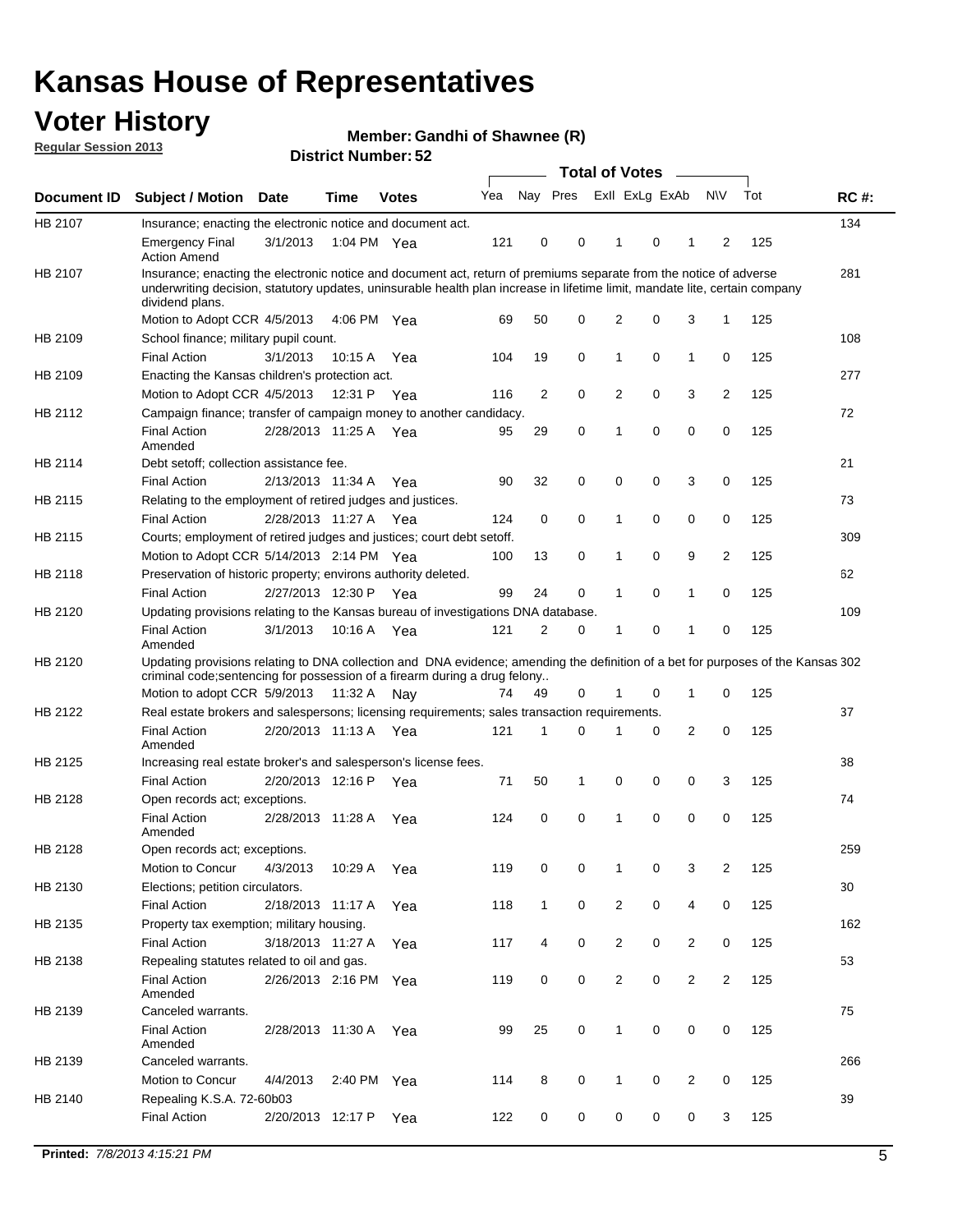## **Voter History**

**Member: Gandhi of Shawnee (R)** 

**Regular Session 2013**

|             |                                                                                                                                                                                                                                                                      |                       |             | אט הסעוווטנו ועוווסוש |     |                |             | <b>Total of Votes</b> |   | $\sim$         |                |     |             |
|-------------|----------------------------------------------------------------------------------------------------------------------------------------------------------------------------------------------------------------------------------------------------------------------|-----------------------|-------------|-----------------------|-----|----------------|-------------|-----------------------|---|----------------|----------------|-----|-------------|
| Document ID | <b>Subject / Motion Date</b>                                                                                                                                                                                                                                         |                       | <b>Time</b> | <b>Votes</b>          | Yea | Nay Pres       |             | Exll ExLg ExAb        |   |                | <b>NV</b>      | Tot | <b>RC#:</b> |
| HB 2107     | Insurance; enacting the electronic notice and document act.                                                                                                                                                                                                          |                       |             |                       |     |                |             |                       |   |                |                |     | 134         |
|             | <b>Emergency Final</b><br><b>Action Amend</b>                                                                                                                                                                                                                        | 3/1/2013              | 1:04 PM Yea |                       | 121 | 0              | 0           | 1                     | 0 | 1              | 2              | 125 |             |
| HB 2107     | Insurance; enacting the electronic notice and document act, return of premiums separate from the notice of adverse<br>underwriting decision, statutory updates, uninsurable health plan increase in lifetime limit, mandate lite, certain company<br>dividend plans. |                       |             |                       |     |                |             |                       |   |                |                |     | 281         |
|             | Motion to Adopt CCR 4/5/2013                                                                                                                                                                                                                                         |                       | 4:06 PM Yea |                       | 69  | 50             | 0           | 2                     | 0 | 3              | $\mathbf{1}$   | 125 |             |
| HB 2109     | School finance; military pupil count.                                                                                                                                                                                                                                |                       |             |                       |     |                |             |                       |   |                |                |     | 108         |
|             | <b>Final Action</b>                                                                                                                                                                                                                                                  | 3/1/2013              | 10:15A      | Yea                   | 104 | 19             | 0           | 1                     | 0 | $\mathbf{1}$   | 0              | 125 |             |
| HB 2109     | Enacting the Kansas children's protection act.                                                                                                                                                                                                                       |                       |             |                       |     |                |             |                       |   |                |                |     | 277         |
|             | Motion to Adopt CCR 4/5/2013                                                                                                                                                                                                                                         |                       | 12:31 P Yea |                       | 116 | $\overline{2}$ | 0           | 2                     | 0 | 3              | $\overline{2}$ | 125 |             |
| HB 2112     | Campaign finance; transfer of campaign money to another candidacy.                                                                                                                                                                                                   |                       |             |                       |     |                |             |                       |   |                |                |     | 72          |
|             | <b>Final Action</b><br>Amended                                                                                                                                                                                                                                       | 2/28/2013 11:25 A Yea |             |                       | 95  | 29             | 0           | 1                     | 0 | 0              | 0              | 125 |             |
| HB 2114     | Debt setoff; collection assistance fee.                                                                                                                                                                                                                              |                       |             |                       |     |                |             |                       |   |                |                |     | 21          |
|             | <b>Final Action</b>                                                                                                                                                                                                                                                  | 2/13/2013 11:34 A     |             | Yea                   | 90  | 32             | 0           | 0                     | 0 | 3              | 0              | 125 |             |
| HB 2115     | Relating to the employment of retired judges and justices.                                                                                                                                                                                                           |                       |             |                       |     |                |             |                       |   |                |                |     | 73          |
|             | <b>Final Action</b>                                                                                                                                                                                                                                                  | 2/28/2013 11:27 A     |             | Yea                   | 124 | 0              | $\mathbf 0$ | 1                     | 0 | 0              | 0              | 125 |             |
| HB 2115     | Courts; employment of retired judges and justices; court debt setoff.                                                                                                                                                                                                |                       |             |                       |     |                |             |                       |   |                |                |     | 309         |
|             | Motion to Adopt CCR 5/14/2013 2:14 PM Yea                                                                                                                                                                                                                            |                       |             |                       | 100 | 13             | 0           | 1                     | 0 | 9              | $\overline{2}$ | 125 |             |
| HB 2118     | Preservation of historic property; environs authority deleted.                                                                                                                                                                                                       |                       |             |                       |     |                |             |                       |   |                |                |     | 62          |
|             | <b>Final Action</b>                                                                                                                                                                                                                                                  | 2/27/2013 12:30 P     |             | Yea                   | 99  | 24             | 0           | 1                     | 0 | $\mathbf{1}$   | 0              | 125 |             |
| HB 2120     | Updating provisions relating to the Kansas bureau of investigations DNA database.                                                                                                                                                                                    |                       |             |                       |     |                |             |                       |   |                |                |     | 109         |
|             | <b>Final Action</b><br>Amended                                                                                                                                                                                                                                       | 3/1/2013              | 10:16 A     | Yea                   | 121 | 2              | 0           | 1                     | 0 | 1              | 0              | 125 |             |
| HB 2120     | Updating provisions relating to DNA collection and DNA evidence; amending the definition of a bet for purposes of the Kansas 302<br>criminal code; sentencing for possession of a firearm during a drug felony                                                       |                       |             |                       |     |                |             |                       |   |                |                |     |             |
|             | Motion to adopt CCR 5/9/2013 11:32 A Nay                                                                                                                                                                                                                             |                       |             |                       | 74  | 49             | 0           |                       | 0 | 1              | 0              | 125 |             |
| HB 2122     | Real estate brokers and salespersons; licensing requirements; sales transaction requirements.                                                                                                                                                                        |                       |             |                       |     |                |             |                       |   |                |                |     | 37          |
|             | <b>Final Action</b><br>Amended                                                                                                                                                                                                                                       | 2/20/2013 11:13 A Yea |             |                       | 121 | 1              | 0           |                       | 0 | 2              | 0              | 125 |             |
| HB 2125     | Increasing real estate broker's and salesperson's license fees.                                                                                                                                                                                                      |                       |             |                       |     |                |             |                       |   |                |                |     | 38          |
|             | <b>Final Action</b>                                                                                                                                                                                                                                                  | 2/20/2013 12:16 P     |             | Yea                   | 71  | 50             | 1           | 0                     | 0 | 0              | 3              | 125 |             |
| HB 2128     | Open records act; exceptions.                                                                                                                                                                                                                                        |                       |             |                       |     |                |             |                       |   |                |                |     | 74          |
|             | <b>Final Action</b><br>Amended                                                                                                                                                                                                                                       | 2/28/2013 11:28 A     |             | Yea                   | 124 | 0              | 0           | 1                     | 0 | 0              | 0              | 125 |             |
| HB 2128     | Open records act; exceptions.                                                                                                                                                                                                                                        |                       |             |                       |     |                |             |                       |   |                |                |     | 259         |
|             | Motion to Concur                                                                                                                                                                                                                                                     | 4/3/2013              | 10:29 A     | Yea                   | 119 | 0              | 0           | 1                     | 0 | 3              | $\overline{2}$ | 125 |             |
| HB 2130     | Elections; petition circulators.                                                                                                                                                                                                                                     |                       |             |                       |     |                |             |                       |   |                |                |     | 30          |
|             | <b>Final Action</b>                                                                                                                                                                                                                                                  | 2/18/2013 11:17 A     |             | Yea                   | 118 | $\mathbf{1}$   | 0           | $\overline{c}$        | 0 | 4              | 0              | 125 |             |
| HB 2135     | Property tax exemption; military housing.                                                                                                                                                                                                                            |                       |             |                       |     |                |             |                       |   |                |                |     | 162         |
|             | <b>Final Action</b>                                                                                                                                                                                                                                                  | 3/18/2013 11:27 A     |             | Yea                   | 117 | 4              | 0           | $\overline{c}$        | 0 | $\overline{2}$ | 0              | 125 |             |
| HB 2138     | Repealing statutes related to oil and gas.                                                                                                                                                                                                                           |                       |             |                       |     |                |             |                       |   |                |                |     | 53          |
|             | <b>Final Action</b><br>Amended                                                                                                                                                                                                                                       | 2/26/2013 2:16 PM Yea |             |                       | 119 | 0              | 0           | 2                     | 0 | $\overline{2}$ | $\overline{2}$ | 125 |             |
| HB 2139     | Canceled warrants.                                                                                                                                                                                                                                                   |                       |             |                       |     |                |             |                       |   |                |                |     | 75          |
|             | <b>Final Action</b><br>Amended                                                                                                                                                                                                                                       | 2/28/2013 11:30 A     |             | Yea                   | 99  | 25             | 0           | 1                     | 0 | 0              | 0              | 125 |             |
| HB 2139     | Canceled warrants.                                                                                                                                                                                                                                                   |                       |             |                       |     |                |             |                       |   |                |                |     | 266         |
|             | Motion to Concur                                                                                                                                                                                                                                                     | 4/4/2013              | 2:40 PM     | Yea                   | 114 | 8              | 0           | 1                     | 0 | 2              | 0              | 125 |             |
| HB 2140     | Repealing K.S.A. 72-60b03                                                                                                                                                                                                                                            |                       |             |                       |     |                |             |                       |   |                |                |     | 39          |
|             | <b>Final Action</b>                                                                                                                                                                                                                                                  | 2/20/2013 12:17 P     |             | Yea                   | 122 | 0              | 0           | 0                     | 0 | 0              | 3              | 125 |             |
|             |                                                                                                                                                                                                                                                                      |                       |             |                       |     |                |             |                       |   |                |                |     |             |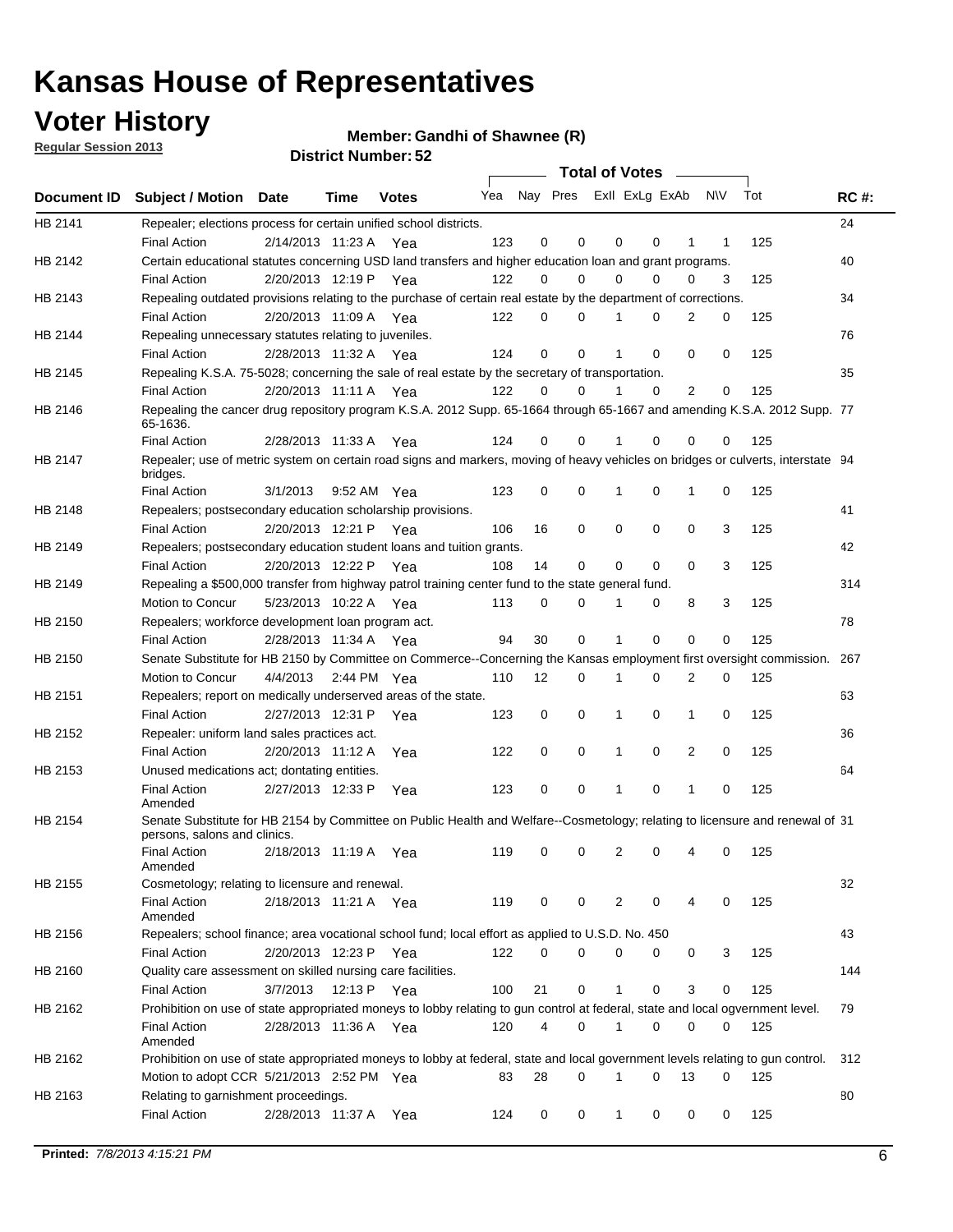## **Voter History**

**Member: Gandhi of Shawnee (R)** 

**Regular Session 2013**

|             |                                                                                                                                              |                       |                       |              |     |    | <b>Total of Votes</b>   |              |   | $\overline{\phantom{0}}$ |     |     |             |
|-------------|----------------------------------------------------------------------------------------------------------------------------------------------|-----------------------|-----------------------|--------------|-----|----|-------------------------|--------------|---|--------------------------|-----|-----|-------------|
| Document ID | <b>Subject / Motion Date</b>                                                                                                                 |                       | Time                  | <b>Votes</b> | Yea |    | Nay Pres Exll ExLg ExAb |              |   |                          | N\V | Tot | <b>RC#:</b> |
| HB 2141     | Repealer; elections process for certain unified school districts.                                                                            |                       |                       |              |     |    |                         |              |   |                          |     |     | 24          |
|             | <b>Final Action</b>                                                                                                                          | 2/14/2013 11:23 A     |                       | Yea          | 123 | 0  | 0                       | 0            | 0 | 1                        | 1   | 125 |             |
| HB 2142     | Certain educational statutes concerning USD land transfers and higher education loan and grant programs.                                     |                       |                       |              |     |    |                         |              |   |                          |     |     | 40          |
|             | <b>Final Action</b>                                                                                                                          | 2/20/2013 12:19 P     |                       | Yea          | 122 | 0  | 0                       | 0            | 0 | 0                        | 3   | 125 |             |
| HB 2143     | Repealing outdated provisions relating to the purchase of certain real estate by the department of corrections.                              |                       |                       |              |     |    |                         |              |   |                          |     |     | 34          |
|             | <b>Final Action</b>                                                                                                                          |                       | 2/20/2013 11:09 A     | Yea          | 122 | 0  | 0                       |              | 0 | 2                        | 0   | 125 |             |
| HB 2144     | Repealing unnecessary statutes relating to juveniles.                                                                                        |                       |                       |              |     |    |                         |              |   |                          |     |     | 76          |
|             | <b>Final Action</b>                                                                                                                          |                       | 2/28/2013 11:32 A Yea |              | 124 | 0  | 0                       |              | 0 | 0                        | 0   | 125 |             |
| HB 2145     | Repealing K.S.A. 75-5028; concerning the sale of real estate by the secretary of transportation.                                             |                       |                       |              |     |    |                         |              |   |                          |     |     | 35          |
|             | <b>Final Action</b>                                                                                                                          | 2/20/2013 11:11 A Yea |                       |              | 122 | 0  | 0                       |              | 0 | 2                        | 0   | 125 |             |
| HB 2146     | Repealing the cancer drug repository program K.S.A. 2012 Supp. 65-1664 through 65-1667 and amending K.S.A. 2012 Supp. 77<br>65-1636.         |                       |                       |              |     |    |                         |              |   |                          |     |     |             |
|             | <b>Final Action</b>                                                                                                                          |                       | 2/28/2013 11:33 A     | Yea          | 124 | 0  | 0                       |              | 0 | 0                        | 0   | 125 |             |
| HB 2147     | Repealer; use of metric system on certain road signs and markers, moving of heavy vehicles on bridges or culverts, interstate 94<br>bridges. |                       |                       |              |     |    |                         |              |   |                          |     |     |             |
|             | <b>Final Action</b>                                                                                                                          | 3/1/2013              |                       | 9:52 AM Yea  | 123 | 0  | 0                       | 1            | 0 | 1                        | 0   | 125 |             |
| HB 2148     | Repealers; postsecondary education scholarship provisions.                                                                                   |                       |                       |              |     |    |                         |              |   |                          |     |     | 41          |
|             | <b>Final Action</b>                                                                                                                          | 2/20/2013 12:21 P Yea |                       |              | 106 | 16 | 0                       | 0            | 0 | 0                        | 3   | 125 |             |
| HB 2149     | Repealers; postsecondary education student loans and tuition grants.                                                                         |                       |                       |              |     |    |                         |              |   |                          |     |     | 42          |
|             | <b>Final Action</b>                                                                                                                          |                       | 2/20/2013 12:22 P     | Yea          | 108 | 14 | 0                       | 0            | 0 | $\Omega$                 | 3   | 125 |             |
| HB 2149     | Repealing a \$500,000 transfer from highway patrol training center fund to the state general fund.                                           |                       |                       |              |     |    |                         |              |   |                          |     |     | 314         |
|             | Motion to Concur                                                                                                                             |                       | 5/23/2013 10:22 A Yea |              | 113 | 0  | 0                       |              | 0 | 8                        | 3   | 125 |             |
| HB 2150     | Repealers; workforce development loan program act.                                                                                           |                       |                       |              |     |    |                         |              |   |                          |     |     | 78          |
|             | <b>Final Action</b>                                                                                                                          |                       | 2/28/2013 11:34 A Yea |              | 94  | 30 | 0                       | 1            | 0 | 0                        | 0   | 125 |             |
| HB 2150     | Senate Substitute for HB 2150 by Committee on Commerce--Concerning the Kansas employment first oversight commission.                         |                       |                       |              |     |    |                         |              |   |                          |     |     | 267         |
|             | Motion to Concur                                                                                                                             | 4/4/2013              |                       | 2:44 PM Yea  | 110 | 12 | 0                       | 1            | 0 | 2                        | 0   | 125 |             |
| HB 2151     | Repealers; report on medically underserved areas of the state.                                                                               |                       |                       |              |     |    |                         |              |   |                          |     |     | 63          |
|             | <b>Final Action</b>                                                                                                                          |                       | 2/27/2013 12:31 P     | Yea          | 123 | 0  | 0                       | 1            | 0 | 1                        | 0   | 125 |             |
| HB 2152     | Repealer: uniform land sales practices act.                                                                                                  |                       |                       |              |     |    |                         |              |   |                          |     |     | 36          |
|             | <b>Final Action</b>                                                                                                                          |                       | 2/20/2013 11:12 A     | Yea          | 122 | 0  | 0                       | 1            | 0 | 2                        | 0   | 125 |             |
| HB 2153     | Unused medications act; dontating entities.                                                                                                  |                       |                       |              |     |    |                         |              |   |                          |     |     | 64          |
|             | <b>Final Action</b><br>Amended                                                                                                               | 2/27/2013 12:33 P     |                       | Yea          | 123 | 0  | 0                       | 1            | 0 | 1                        | 0   | 125 |             |
| HB 2154     | Senate Substitute for HB 2154 by Committee on Public Health and Welfare--Cosmetology; relating to licensure and renewal of 31                |                       |                       |              |     |    |                         |              |   |                          |     |     |             |
|             | persons, salons and clinics.                                                                                                                 |                       |                       |              |     |    |                         |              |   |                          |     |     |             |
|             | <b>Final Action</b><br>Amended                                                                                                               |                       | 2/18/2013 11:19 A     | Yea          | 119 | 0  | 0                       | 2            | 0 | 4                        | 0   | 125 |             |
| HB 2155     | Cosmetology; relating to licensure and renewal.                                                                                              |                       |                       |              |     |    |                         |              |   |                          |     |     | 32          |
|             | <b>Final Action</b><br>Amended                                                                                                               |                       | 2/18/2013 11:21 A Yea |              | 119 | 0  | 0                       | 2            | 0 | 4                        | 0   | 125 |             |
| HB 2156     | Repealers; school finance; area vocational school fund; local effort as applied to U.S.D. No. 450                                            |                       |                       |              |     |    |                         |              |   |                          |     |     | 43          |
|             | <b>Final Action</b>                                                                                                                          | 2/20/2013 12:23 P Yea |                       |              | 122 | 0  | $\Omega$                | 0            | 0 | 0                        | 3   | 125 |             |
| HB 2160     | Quality care assessment on skilled nursing care facilities.                                                                                  |                       |                       |              |     |    |                         |              |   |                          |     |     | 144         |
|             | <b>Final Action</b>                                                                                                                          | 3/7/2013              |                       | 12:13 P Yea  | 100 | 21 | 0                       | $\mathbf 1$  | 0 | 3                        | 0   | 125 |             |
|             | Prohibition on use of state appropriated moneys to lobby relating to gun control at federal, state and local ogvernment level.               |                       |                       |              |     |    |                         |              |   |                          |     |     |             |
| HB 2162     |                                                                                                                                              |                       |                       |              |     |    |                         | 1            |   |                          |     |     | 79          |
|             | <b>Final Action</b><br>Amended                                                                                                               |                       | 2/28/2013 11:36 A Yea |              | 120 | 4  | 0                       |              | 0 | 0                        | 0   | 125 |             |
| HB 2162     | Prohibition on use of state appropriated moneys to lobby at federal, state and local government levels relating to gun control.              |                       |                       |              |     |    |                         |              |   |                          |     |     | 312         |
|             | Motion to adopt CCR 5/21/2013 2:52 PM Yea                                                                                                    |                       |                       |              | 83  | 28 | 0                       | 1            | 0 | 13                       | 0   | 125 |             |
| HB 2163     | Relating to garnishment proceedings.                                                                                                         |                       |                       |              |     |    |                         |              |   |                          |     |     | 80          |
|             | <b>Final Action</b>                                                                                                                          |                       | 2/28/2013 11:37 A Yea |              | 124 | 0  | 0                       | $\mathbf{1}$ | 0 | 0                        | 0   | 125 |             |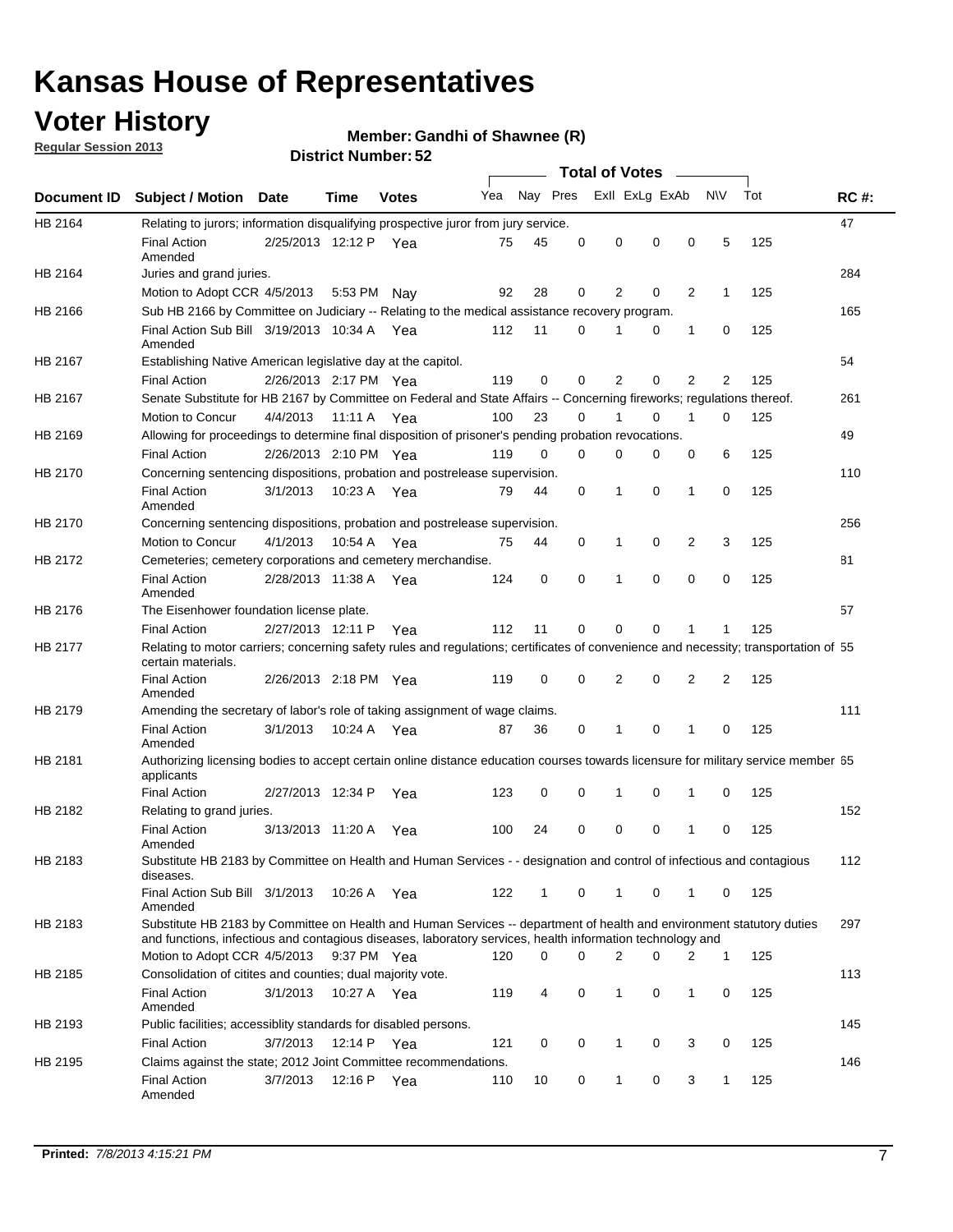## **Voter History**

**Member: Gandhi of Shawnee (R)** 

**Regular Session 2013**

|             |                                                                                                                                                                                                                                    |                       |             |              |     |              |          | <b>Total of Votes</b> |          |                |              |     |             |
|-------------|------------------------------------------------------------------------------------------------------------------------------------------------------------------------------------------------------------------------------------|-----------------------|-------------|--------------|-----|--------------|----------|-----------------------|----------|----------------|--------------|-----|-------------|
| Document ID | <b>Subject / Motion</b>                                                                                                                                                                                                            | <b>Date</b>           | Time        | <b>Votes</b> | Yea | Nay Pres     |          | Exll ExLg ExAb        |          |                | <b>NV</b>    | Tot | <b>RC#:</b> |
| HB 2164     | Relating to jurors; information disqualifying prospective juror from jury service.                                                                                                                                                 |                       |             |              |     |              |          |                       |          |                |              |     | 47          |
|             | <b>Final Action</b><br>Amended                                                                                                                                                                                                     | 2/25/2013 12:12 P Yea |             |              | 75  | 45           | 0        | 0                     | 0        | 0              | 5            | 125 |             |
| HB 2164     | Juries and grand juries.<br>Motion to Adopt CCR 4/5/2013                                                                                                                                                                           |                       |             |              | 92  | 28           | 0        | 2                     | 0        | 2              | 1            | 125 | 284         |
| HB 2166     |                                                                                                                                                                                                                                    |                       | 5:53 PM     | Nav          |     |              |          |                       |          |                |              |     | 165         |
|             | Sub HB 2166 by Committee on Judiciary -- Relating to the medical assistance recovery program.<br>Final Action Sub Bill 3/19/2013 10:34 A Yea                                                                                       |                       |             |              | 112 | 11           | 0        |                       | 0        | 1              | 0            | 125 |             |
|             | Amended                                                                                                                                                                                                                            |                       |             |              |     |              |          |                       |          |                |              |     |             |
| HB 2167     | Establishing Native American legislative day at the capitol.                                                                                                                                                                       |                       |             |              |     |              |          |                       |          |                |              |     | 54          |
|             | <b>Final Action</b>                                                                                                                                                                                                                | 2/26/2013 2:17 PM Yea |             |              | 119 | 0            | 0        | 2                     | 0        | $\overline{2}$ | 2            | 125 |             |
| HB 2167     | Senate Substitute for HB 2167 by Committee on Federal and State Affairs -- Concerning fireworks; regulations thereof.                                                                                                              |                       |             |              |     |              |          |                       |          |                |              |     | 261         |
|             | Motion to Concur                                                                                                                                                                                                                   | 4/4/2013 11:11 A Yea  |             |              | 100 | 23           | $\Omega$ |                       | 0        | 1              | $\Omega$     | 125 |             |
| HB 2169     | Allowing for proceedings to determine final disposition of prisoner's pending probation revocations.                                                                                                                               |                       |             |              |     |              |          |                       |          |                |              |     | 49          |
|             | <b>Final Action</b>                                                                                                                                                                                                                | 2/26/2013 2:10 PM Yea |             |              | 119 | $\Omega$     | $\Omega$ | 0                     | 0        | 0              | 6            | 125 |             |
| HB 2170     | Concerning sentencing dispositions, probation and postrelease supervision.                                                                                                                                                         |                       |             |              |     |              |          |                       |          |                |              |     | 110         |
|             | <b>Final Action</b><br>Amended                                                                                                                                                                                                     | 3/1/2013              | 10:23 A Yea |              | 79  | 44           | 0        | 1                     | $\Omega$ | 1              | 0            | 125 |             |
| HB 2170     | Concerning sentencing dispositions, probation and postrelease supervision.                                                                                                                                                         |                       |             |              |     |              |          |                       |          |                |              |     | 256         |
|             | Motion to Concur                                                                                                                                                                                                                   | 4/1/2013              | 10:54 A     | Yea          | 75  | 44           | 0        | 1                     | 0        | 2              | 3            | 125 |             |
| HB 2172     | Cemeteries; cemetery corporations and cemetery merchandise.                                                                                                                                                                        |                       |             |              |     |              |          |                       |          |                |              |     | 81          |
|             | <b>Final Action</b><br>Amended                                                                                                                                                                                                     | 2/28/2013 11:38 A     |             | Yea          | 124 | 0            | 0        | 1                     | 0        | 0              | 0            | 125 |             |
| HB 2176     | The Eisenhower foundation license plate.                                                                                                                                                                                           |                       |             |              |     |              |          |                       |          |                |              |     | 57          |
|             | <b>Final Action</b>                                                                                                                                                                                                                | 2/27/2013 12:11 P     |             | Yea          | 112 | 11           | 0        | $\Omega$              | 0        | 1              |              | 125 |             |
| HB 2177     | Relating to motor carriers; concerning safety rules and regulations; certificates of convenience and necessity; transportation of 55<br>certain materials.                                                                         |                       |             |              |     |              |          |                       |          |                |              |     |             |
|             | <b>Final Action</b><br>Amended                                                                                                                                                                                                     | 2/26/2013 2:18 PM Yea |             |              | 119 | $\mathbf 0$  | 0        | 2                     | 0        | 2              | 2            | 125 |             |
| HB 2179     | Amending the secretary of labor's role of taking assignment of wage claims.                                                                                                                                                        |                       |             |              |     |              |          |                       |          |                |              |     | 111         |
|             | <b>Final Action</b><br>Amended                                                                                                                                                                                                     | 3/1/2013              | 10:24 A Yea |              | 87  | 36           | 0        | 1                     | 0        | 1              | 0            | 125 |             |
| HB 2181     | Authorizing licensing bodies to accept certain online distance education courses towards licensure for military service member 55<br>applicants                                                                                    |                       |             |              |     |              |          |                       |          |                |              |     |             |
|             | <b>Final Action</b>                                                                                                                                                                                                                | 2/27/2013 12:34 P     |             | Yea          | 123 | 0            | 0        | 1                     | 0        | 1              | 0            | 125 |             |
| HB 2182     | Relating to grand juries.                                                                                                                                                                                                          |                       |             |              |     |              |          |                       |          |                |              |     | 152         |
|             | <b>Final Action</b><br>Amended                                                                                                                                                                                                     | 3/13/2013 11:20 A     |             | Yea          | 100 | 24           | 0        | 0                     | 0        | 1              | 0            | 125 |             |
| HB 2183     | Substitute HB 2183 by Committee on Health and Human Services - - designation and control of infectious and contagious<br>diseases.                                                                                                 |                       |             |              |     |              |          |                       |          |                |              |     | 112         |
|             | Final Action Sub Bill 3/1/2013<br>Amended                                                                                                                                                                                          |                       | 10:26 A Yea |              | 122 | $\mathbf{1}$ | 0        | $\mathbf 1$           | 0        | $\mathbf{1}$   | $\mathbf{0}$ | 125 |             |
| HB 2183     | Substitute HB 2183 by Committee on Health and Human Services -- department of health and environment statutory duties<br>and functions, infectious and contagious diseases, laboratory services, health information technology and |                       |             |              |     |              |          |                       |          |                |              |     | 297         |
|             | Motion to Adopt CCR 4/5/2013                                                                                                                                                                                                       |                       | 9:37 PM Yea |              | 120 | 0            | 0        | $\overline{2}$        | 0        | 2              | $\mathbf{1}$ | 125 |             |
| HB 2185     | Consolidation of citites and counties; dual majority vote.                                                                                                                                                                         |                       |             |              |     |              |          |                       |          |                |              |     | 113         |
|             | <b>Final Action</b><br>Amended                                                                                                                                                                                                     | 3/1/2013              | 10:27 A Yea |              | 119 | 4            | 0        | 1                     | 0        | 1              | 0            | 125 |             |
| HB 2193     | Public facilities; accessiblity standards for disabled persons.                                                                                                                                                                    |                       |             |              |     |              |          |                       |          |                |              |     | 145         |
|             | <b>Final Action</b>                                                                                                                                                                                                                | 3/7/2013              | 12:14 P Yea |              | 121 | 0            | 0        | 1                     | 0        | 3              | 0            | 125 |             |
| HB 2195     | Claims against the state; 2012 Joint Committee recommendations.                                                                                                                                                                    |                       |             |              |     |              |          |                       |          |                |              |     | 146         |
|             | <b>Final Action</b><br>Amended                                                                                                                                                                                                     | 3/7/2013              | 12:16 P Yea |              | 110 | 10           | 0        | $\mathbf{1}$          | 0        | 3              | $\mathbf{1}$ | 125 |             |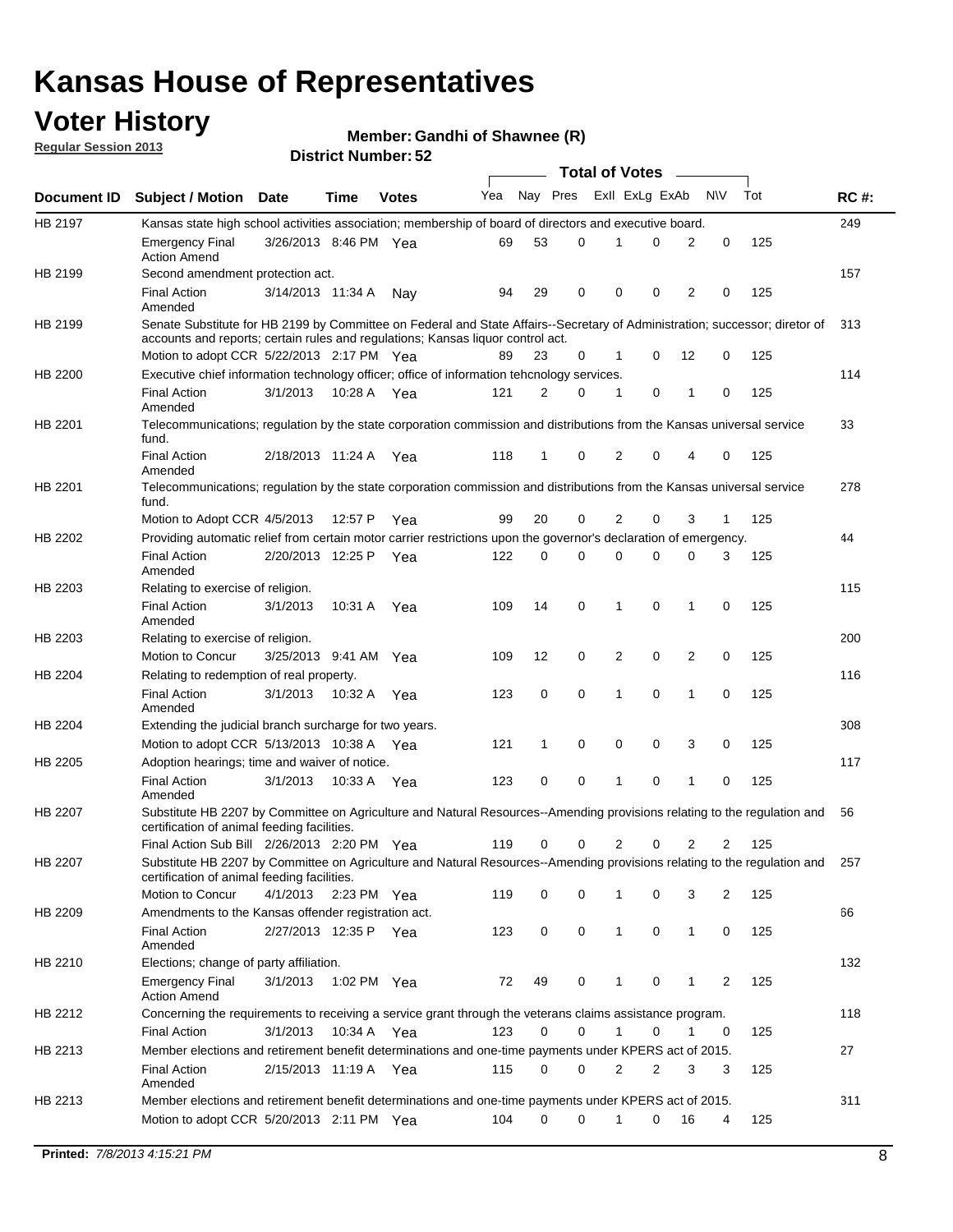## **Voter History**

**Member: Gandhi of Shawnee (R)** 

**Regular Session 2013**

|                |                                                                                                                                                                             |                       |             |              |     |          |   | <b>Total of Votes</b> |   |              |            |     |             |
|----------------|-----------------------------------------------------------------------------------------------------------------------------------------------------------------------------|-----------------------|-------------|--------------|-----|----------|---|-----------------------|---|--------------|------------|-----|-------------|
| Document ID    | <b>Subject / Motion Date</b>                                                                                                                                                |                       | Time        | <b>Votes</b> | Yea | Nay Pres |   | Exll ExLg ExAb        |   |              | <b>N/A</b> | Tot | <b>RC#:</b> |
| HB 2197        | Kansas state high school activities association; membership of board of directors and executive board.                                                                      |                       |             |              |     |          |   |                       |   |              |            |     | 249         |
|                | <b>Emergency Final</b><br><b>Action Amend</b>                                                                                                                               | 3/26/2013 8:46 PM Yea |             |              | 69  | 53       | 0 |                       | 0 | 2            | 0          | 125 |             |
| HB 2199        | Second amendment protection act.                                                                                                                                            |                       |             |              |     |          |   |                       |   |              |            |     | 157         |
|                | <b>Final Action</b><br>Amended                                                                                                                                              | 3/14/2013 11:34 A     |             | Nav          | 94  | 29       | 0 | 0                     | 0 | 2            | 0          | 125 |             |
| HB 2199        | Senate Substitute for HB 2199 by Committee on Federal and State Affairs--Secretary of Administration; successor; diretor of                                                 |                       |             |              |     |          |   |                       |   |              |            |     | 313         |
|                | accounts and reports; certain rules and regulations; Kansas liguor control act.                                                                                             |                       |             |              |     |          |   |                       |   |              |            |     |             |
|                | Motion to adopt CCR 5/22/2013 2:17 PM Yea                                                                                                                                   |                       |             |              | 89  | 23       | 0 | 1                     | 0 | 12           | 0          | 125 |             |
| HB 2200        | Executive chief information technology officer; office of information tehcnology services.                                                                                  |                       |             |              |     |          |   |                       |   |              |            |     | 114         |
|                | <b>Final Action</b><br>Amended                                                                                                                                              | 3/1/2013              | 10:28 A     | Yea          | 121 | 2        | 0 | 1                     | 0 | 1            | 0          | 125 |             |
| HB 2201        | Telecommunications; regulation by the state corporation commission and distributions from the Kansas universal service<br>fund.                                             |                       |             |              |     |          |   |                       |   |              |            |     | 33          |
|                | <b>Final Action</b><br>Amended                                                                                                                                              | 2/18/2013 11:24 A     |             | Yea          | 118 | 1        | 0 | 2                     | 0 | 4            | 0          | 125 |             |
| HB 2201        | Telecommunications; regulation by the state corporation commission and distributions from the Kansas universal service<br>fund.                                             |                       |             |              |     |          |   |                       |   |              |            |     | 278         |
|                | Motion to Adopt CCR 4/5/2013                                                                                                                                                |                       | 12:57 P     | Yea          | 99  | 20       | 0 | 2                     | 0 | 3            | 1          | 125 |             |
| HB 2202        | Providing automatic relief from certain motor carrier restrictions upon the governor's declaration of emergency.                                                            |                       |             |              |     |          |   |                       |   |              |            |     | 44          |
|                | <b>Final Action</b><br>Amended                                                                                                                                              | 2/20/2013 12:25 P     |             | Yea          | 122 | 0        | 0 | 0                     | 0 | 0            | 3          | 125 |             |
| HB 2203        | Relating to exercise of religion.                                                                                                                                           |                       |             |              |     |          |   |                       |   |              |            |     | 115         |
|                | <b>Final Action</b><br>Amended                                                                                                                                              | 3/1/2013              | 10:31 A     | Yea          | 109 | 14       | 0 | 1                     | 0 | 1            | 0          | 125 |             |
| HB 2203        | Relating to exercise of religion.                                                                                                                                           |                       |             |              |     |          |   |                       |   |              |            |     | 200         |
|                | Motion to Concur                                                                                                                                                            | 3/25/2013 9:41 AM     |             | Yea          | 109 | 12       | 0 | 2                     | 0 | 2            | 0          | 125 |             |
| HB 2204        | Relating to redemption of real property.                                                                                                                                    |                       |             |              |     |          |   |                       |   |              |            |     | 116         |
|                | <b>Final Action</b>                                                                                                                                                         | 3/1/2013              | 10:32 A     | Yea          | 123 | 0        | 0 | 1                     | 0 | 1            | 0          | 125 |             |
| HB 2204        | Amended<br>Extending the judicial branch surcharge for two years.                                                                                                           |                       |             |              |     |          |   |                       |   |              |            |     | 308         |
|                | Motion to adopt CCR 5/13/2013 10:38 A                                                                                                                                       |                       |             | Yea          | 121 | 1        | 0 | 0                     | 0 | 3            | 0          | 125 |             |
| HB 2205        | Adoption hearings; time and waiver of notice.                                                                                                                               |                       |             |              |     |          |   |                       |   |              |            |     | 117         |
|                | <b>Final Action</b>                                                                                                                                                         | 3/1/2013              | 10:33 A Yea |              | 123 | 0        | 0 | 1                     | 0 | 1            | 0          | 125 |             |
|                | Amended                                                                                                                                                                     |                       |             |              |     |          |   |                       |   |              |            |     |             |
| HB 2207        | Substitute HB 2207 by Committee on Agriculture and Natural Resources--Amending provisions relating to the regulation and<br>certification of animal feeding facilities.     |                       |             |              |     |          |   |                       |   |              |            |     | 56          |
|                | Final Action Sub Bill 2/26/2013 2:20 PM Yea                                                                                                                                 |                       |             |              | 119 | 0        | 0 | 2                     | 0 | 2            | 2          | 125 |             |
| <b>HB 2207</b> | Substitute HB 2207 by Committee on Agriculture and Natural Resources--Amending provisions relating to the regulation and 257<br>certification of animal feeding facilities. |                       |             |              |     |          |   |                       |   |              |            |     |             |
|                | Motion to Concur                                                                                                                                                            | 4/1/2013 2:23 PM Yea  |             |              | 119 | 0        | 0 | 1                     | 0 | 3            | 2          | 125 |             |
| HB 2209        | Amendments to the Kansas offender registration act.                                                                                                                         |                       |             |              |     |          |   |                       |   |              |            |     | 66          |
|                | Final Action<br>Amended                                                                                                                                                     | 2/27/2013 12:35 P Yea |             |              | 123 | 0        | 0 | $\mathbf{1}$          | 0 | $\mathbf{1}$ | 0          | 125 |             |
| HB 2210        | Elections; change of party affiliation.                                                                                                                                     |                       |             |              |     |          |   |                       |   |              |            |     | 132         |
|                | <b>Emergency Final</b><br><b>Action Amend</b>                                                                                                                               | 3/1/2013              | 1:02 PM Yea |              | 72  | 49       | 0 |                       | 0 | 1            | 2          | 125 |             |
| HB 2212        | Concerning the requirements to receiving a service grant through the veterans claims assistance program.                                                                    |                       |             |              |     |          |   |                       |   |              |            |     | 118         |
|                | Final Action                                                                                                                                                                | 3/1/2013              | 10:34 A Yea |              | 123 | 0        | 0 | $\mathbf{1}$          | 0 | 1            | 0          | 125 |             |
| HB 2213        | Member elections and retirement benefit determinations and one-time payments under KPERS act of 2015.                                                                       |                       |             |              |     |          |   |                       |   |              |            |     | 27          |
|                | <b>Final Action</b><br>Amended                                                                                                                                              | 2/15/2013 11:19 A Yea |             |              | 115 | 0        | 0 | 2                     | 2 | 3            | 3          | 125 |             |
| HB 2213        | Member elections and retirement benefit determinations and one-time payments under KPERS act of 2015.                                                                       |                       |             |              |     |          |   |                       |   |              |            |     | 311         |
|                | Motion to adopt CCR 5/20/2013 2:11 PM Yea                                                                                                                                   |                       |             |              | 104 | $\Omega$ | 0 | 1                     | 0 | 16           | 4          | 125 |             |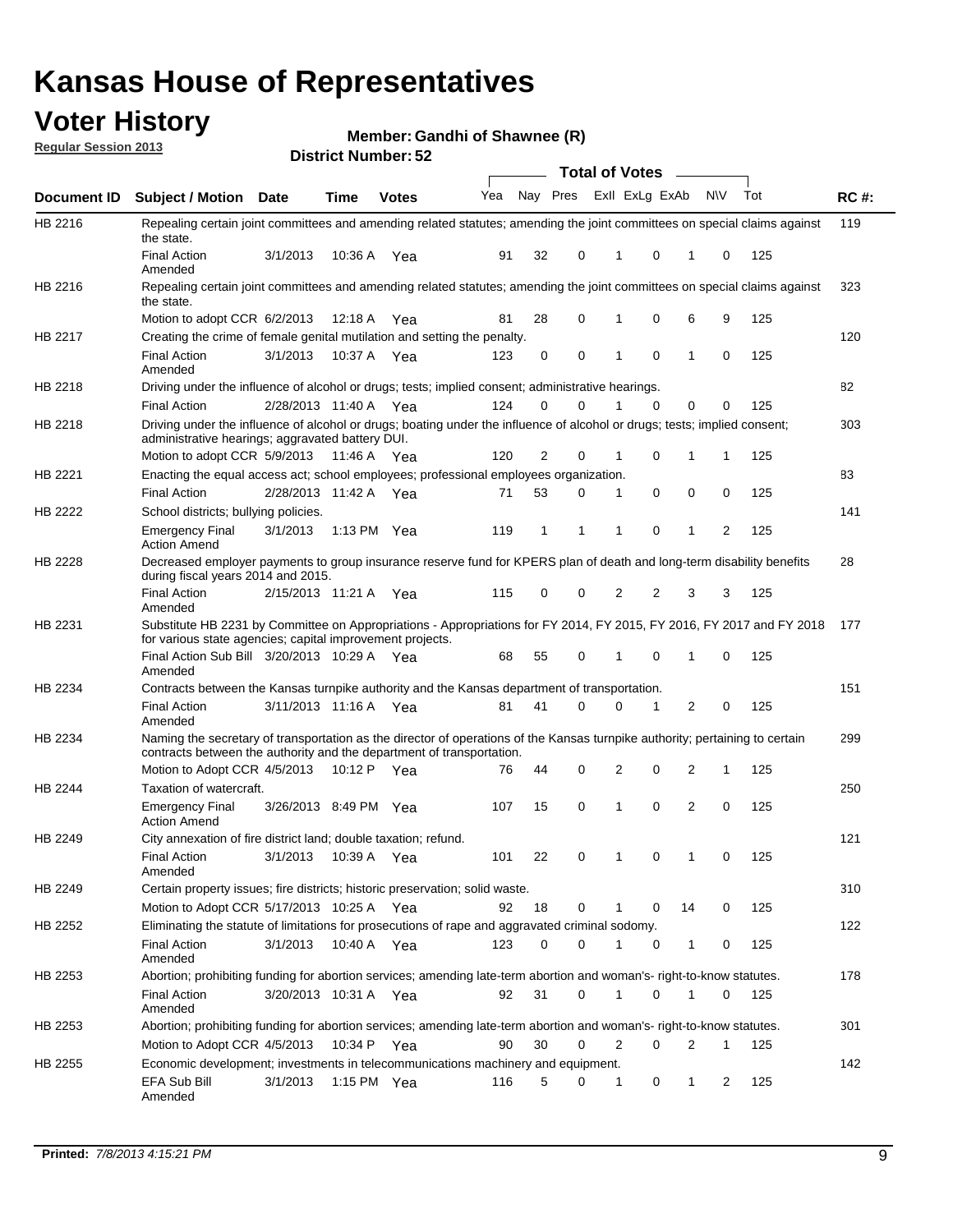## **Voter History**

**Member: Gandhi of Shawnee (R)** 

**Regular Session 2013**

|                    |                                                                                                                                                                                                       |                       |         | אט הסעוווער ועוווסוש <b>בע</b> |              |    |   | <b>Total of Votes</b> |          | $\sim$         |           |     |             |
|--------------------|-------------------------------------------------------------------------------------------------------------------------------------------------------------------------------------------------------|-----------------------|---------|--------------------------------|--------------|----|---|-----------------------|----------|----------------|-----------|-----|-------------|
| <b>Document ID</b> | <b>Subject / Motion Date</b>                                                                                                                                                                          |                       | Time    | <b>Votes</b>                   | Yea Nay Pres |    |   | Exll ExLg ExAb        |          |                | <b>NV</b> | Tot | <b>RC#:</b> |
| HB 2216            | Repealing certain joint committees and amending related statutes; amending the joint committees on special claims against<br>the state.                                                               |                       |         |                                |              |    |   |                       |          |                |           |     | 119         |
|                    | <b>Final Action</b><br>Amended                                                                                                                                                                        | 3/1/2013              | 10:36 A | Yea                            | 91           | 32 | 0 | 1                     | 0        | 1              | 0         | 125 |             |
| HB 2216            | Repealing certain joint committees and amending related statutes; amending the joint committees on special claims against<br>the state.                                                               |                       |         |                                |              |    |   |                       |          |                |           |     | 323         |
|                    | Motion to adopt CCR 6/2/2013                                                                                                                                                                          |                       | 12:18 A | Yea                            | 81           | 28 | 0 | 1                     | 0        | 6              | 9         | 125 |             |
| HB 2217            | Creating the crime of female genital mutilation and setting the penalty.                                                                                                                              |                       |         |                                |              |    |   |                       |          |                |           |     | 120         |
|                    | <b>Final Action</b><br>Amended                                                                                                                                                                        | 3/1/2013              |         | 10:37 A Yea                    | 123          | 0  | 0 | 1                     | 0        | $\mathbf{1}$   | 0         | 125 |             |
| HB 2218            | Driving under the influence of alcohol or drugs; tests; implied consent; administrative hearings.                                                                                                     |                       |         |                                |              |    |   |                       |          |                |           |     | 82          |
|                    | <b>Final Action</b>                                                                                                                                                                                   | 2/28/2013 11:40 A Yea |         |                                | 124          | 0  | 0 |                       | $\Omega$ | 0              | 0         | 125 |             |
| HB 2218            | Driving under the influence of alcohol or drugs; boating under the influence of alcohol or drugs; tests; implied consent;<br>administrative hearings; aggravated battery DUI.                         |                       |         |                                |              |    |   |                       |          |                |           |     | 303         |
|                    | Motion to adopt CCR 5/9/2013 11:46 A                                                                                                                                                                  |                       |         | Yea                            | 120          | 2  | 0 | 1                     | 0        | 1              | 1         | 125 |             |
| HB 2221            | Enacting the equal access act; school employees; professional employees organization.                                                                                                                 |                       |         |                                |              |    |   |                       |          |                |           |     | 83          |
|                    | <b>Final Action</b>                                                                                                                                                                                   | 2/28/2013 11:42 A     |         | Yea                            | 71           | 53 | 0 | 1                     | 0        | 0              | 0         | 125 |             |
| HB 2222            | School districts; bullying policies.                                                                                                                                                                  |                       |         |                                |              |    |   |                       |          |                |           |     | 141         |
|                    | <b>Emergency Final</b><br><b>Action Amend</b>                                                                                                                                                         | 3/1/2013              |         | 1:13 PM $Yea$                  | 119          | 1  | 1 | 1                     | 0        | 1              | 2         | 125 |             |
| HB 2228            | Decreased employer payments to group insurance reserve fund for KPERS plan of death and long-term disability benefits<br>during fiscal years 2014 and 2015.                                           |                       |         |                                |              |    |   |                       |          |                |           |     | 28          |
|                    | <b>Final Action</b><br>Amended                                                                                                                                                                        | 2/15/2013 11:21 A Yea |         |                                | 115          | 0  | 0 | 2                     | 2        | 3              | 3         | 125 |             |
| HB 2231            | Substitute HB 2231 by Committee on Appropriations - Appropriations for FY 2014, FY 2015, FY 2016, FY 2017 and FY 2018<br>for various state agencies; capital improvement projects.                    |                       |         |                                |              |    |   |                       |          |                |           |     | 177         |
|                    | Final Action Sub Bill 3/20/2013 10:29 A Yea<br>Amended                                                                                                                                                |                       |         |                                | 68           | 55 | 0 |                       | 0        | 1              | 0         | 125 |             |
| HB 2234            | Contracts between the Kansas turnpike authority and the Kansas department of transportation.                                                                                                          |                       |         |                                |              |    |   |                       |          |                |           |     | 151         |
|                    | <b>Final Action</b><br>Amended                                                                                                                                                                        | 3/11/2013 11:16 A Yea |         |                                | 81           | 41 | 0 | 0                     | 1        | $\overline{2}$ | 0         | 125 |             |
| HB 2234            | Naming the secretary of transportation as the director of operations of the Kansas turnpike authority; pertaining to certain<br>contracts between the authority and the department of transportation. |                       |         |                                |              |    |   |                       |          |                |           |     | 299         |
|                    | Motion to Adopt CCR 4/5/2013                                                                                                                                                                          |                       | 10:12 P | Yea                            | 76           | 44 | 0 | 2                     | 0        | 2              | 1         | 125 |             |
| HB 2244            | Taxation of watercraft.<br><b>Emergency Final</b>                                                                                                                                                     | 3/26/2013 8:49 PM Yea |         |                                | 107          | 15 | 0 | 1                     | 0        | 2              | 0         | 125 | 250         |
|                    | <b>Action Amend</b>                                                                                                                                                                                   |                       |         |                                |              |    |   |                       |          |                |           |     |             |
| HB 2249            | City annexation of fire district land; double taxation; refund.                                                                                                                                       |                       |         |                                |              |    |   |                       |          |                |           |     | 121         |
|                    | Final Action 3/1/2013 10:39 A Yea<br>Amended                                                                                                                                                          |                       |         |                                | 101          | 22 | 0 | $\mathbf{1}$          | 0        | $\mathbf{1}$   | 0         | 125 |             |
| HB 2249            | Certain property issues; fire districts; historic preservation; solid waste.                                                                                                                          |                       |         |                                |              |    |   |                       |          |                |           |     | 310         |
|                    | Motion to Adopt CCR 5/17/2013 10:25 A Yea                                                                                                                                                             |                       |         |                                | 92           | 18 | 0 | 1                     | 0        | 14             | 0         | 125 |             |
| HB 2252            | Eliminating the statute of limitations for prosecutions of rape and aggravated criminal sodomy.                                                                                                       |                       |         |                                |              |    |   |                       |          |                |           |     | 122         |
|                    | <b>Final Action</b><br>Amended                                                                                                                                                                        | 3/1/2013              |         | 10:40 A Yea                    | 123          | 0  | 0 |                       | 0        | 1              | 0         | 125 |             |
| HB 2253            | Abortion; prohibiting funding for abortion services; amending late-term abortion and woman's- right-to-know statutes.                                                                                 |                       |         |                                |              |    |   |                       |          |                |           |     | 178         |
|                    | <b>Final Action</b><br>Amended                                                                                                                                                                        | 3/20/2013 10:31 A Yea |         |                                | 92           | 31 | 0 | 1                     | 0        | 1              | 0         | 125 |             |
| HB 2253            | Abortion; prohibiting funding for abortion services; amending late-term abortion and woman's- right-to-know statutes.                                                                                 |                       |         |                                |              |    |   |                       |          |                |           |     | 301         |
|                    | Motion to Adopt CCR 4/5/2013                                                                                                                                                                          |                       |         | 10:34 P Yea                    | 90           | 30 | 0 | 2                     | 0        | 2              | 1         | 125 |             |
| HB 2255            | Economic development; investments in telecommunications machinery and equipment.                                                                                                                      |                       |         |                                |              |    |   |                       |          |                |           |     | 142         |
|                    | EFA Sub Bill<br>Amended                                                                                                                                                                               | 3/1/2013              |         | 1:15 PM $Yea$                  | 116          | 5  | 0 | -1                    | 0        | 1              | 2         | 125 |             |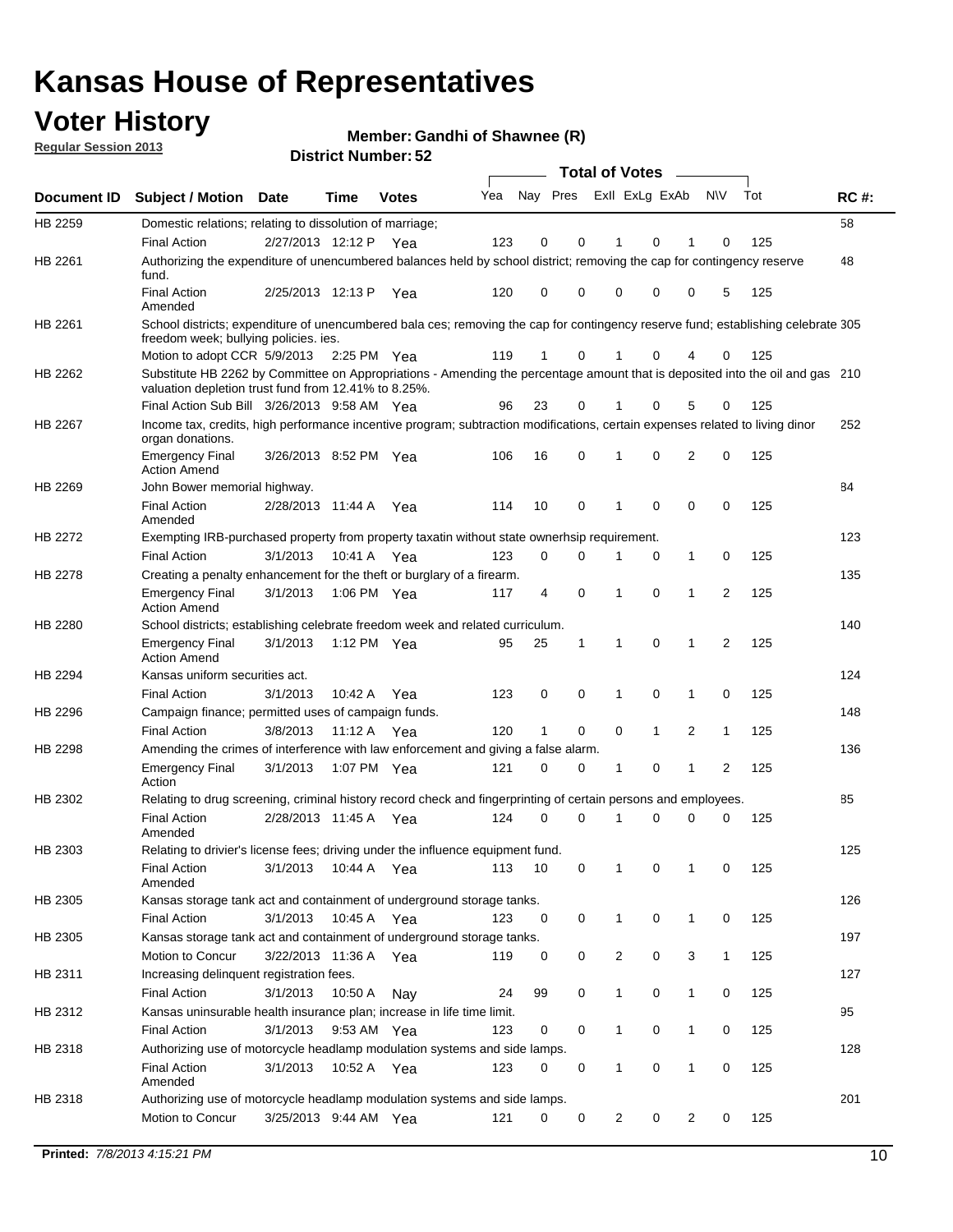## **Voter History**

**Member: Gandhi of Shawnee (R)** 

**Regular Session 2013**

|                    |                                                                                                                                                                                       |                       |             | אט הסעוווטנו ועוווסוש |     |          |             | <b>Total of Votes</b> |              | $\sim$       |                |     |             |
|--------------------|---------------------------------------------------------------------------------------------------------------------------------------------------------------------------------------|-----------------------|-------------|-----------------------|-----|----------|-------------|-----------------------|--------------|--------------|----------------|-----|-------------|
| <b>Document ID</b> | <b>Subject / Motion Date</b>                                                                                                                                                          |                       | <b>Time</b> | <b>Votes</b>          | Yea | Nay Pres |             | Exll ExLg ExAb        |              |              | <b>NV</b>      | Tot | <b>RC#:</b> |
| HB 2259            | Domestic relations; relating to dissolution of marriage;                                                                                                                              |                       |             |                       |     |          |             |                       |              |              |                |     | 58          |
|                    | <b>Final Action</b>                                                                                                                                                                   | 2/27/2013 12:12 P     |             | Yea                   | 123 | 0        | 0           | 1                     | 0            | 1            | 0              | 125 |             |
| HB 2261            | Authorizing the expenditure of unencumbered balances held by school district; removing the cap for contingency reserve<br>fund.                                                       |                       |             |                       |     |          |             |                       |              |              |                |     | 48          |
|                    | <b>Final Action</b><br>Amended                                                                                                                                                        | 2/25/2013 12:13 P     |             | Yea                   | 120 | 0        | 0           | 0                     | 0            | 0            | 5              | 125 |             |
| HB 2261            | School districts; expenditure of unencumbered bala ces; removing the cap for contingency reserve fund; establishing celebrate 305<br>freedom week; bullying policies. ies.            |                       |             |                       |     |          |             |                       |              |              |                |     |             |
|                    | Motion to adopt CCR 5/9/2013 2:25 PM Yea                                                                                                                                              |                       |             |                       | 119 | 1        | 0           | 1                     | 0            | 4            | 0              | 125 |             |
| HB 2262            | Substitute HB 2262 by Committee on Appropriations - Amending the percentage amount that is deposited into the oil and gas 210<br>valuation depletion trust fund from 12.41% to 8.25%. |                       |             |                       |     |          |             |                       |              |              |                |     |             |
|                    | Final Action Sub Bill 3/26/2013 9:58 AM Yea                                                                                                                                           |                       |             |                       | 96  | 23       | 0           |                       | 0            | 5            | 0              | 125 |             |
| HB 2267            | Income tax, credits, high performance incentive program; subtraction modifications, certain expenses related to living dinor<br>organ donations.                                      |                       |             |                       |     |          |             |                       |              |              |                |     | 252         |
|                    | <b>Emergency Final</b><br><b>Action Amend</b>                                                                                                                                         | 3/26/2013 8:52 PM Yea |             |                       | 106 | 16       | 0           | 1                     | 0            | 2            | 0              | 125 |             |
| HB 2269            | John Bower memorial highway.                                                                                                                                                          |                       |             |                       |     |          |             |                       |              |              |                |     | 84          |
|                    | <b>Final Action</b><br>Amended                                                                                                                                                        | 2/28/2013 11:44 A Yea |             |                       | 114 | 10       | 0           | 1                     | 0            | 0            | 0              | 125 |             |
| <b>HB 2272</b>     | Exempting IRB-purchased property from property taxatin without state ownerhsip requirement.                                                                                           |                       |             |                       |     |          |             |                       |              |              |                |     | 123         |
|                    | <b>Final Action</b>                                                                                                                                                                   | 3/1/2013              | 10:41 A     | Yea                   | 123 | 0        | 0           | 1                     | 0            | $\mathbf{1}$ | 0              | 125 |             |
| HB 2278            | Creating a penalty enhancement for the theft or burglary of a firearm.                                                                                                                |                       |             |                       |     |          |             |                       |              |              |                |     | 135         |
|                    | <b>Emergency Final</b><br><b>Action Amend</b>                                                                                                                                         | 3/1/2013              | 1:06 PM Yea |                       | 117 | 4        | $\mathbf 0$ | 1                     | $\Omega$     | 1            | $\overline{2}$ | 125 |             |
| HB 2280            | School districts; establishing celebrate freedom week and related curriculum.                                                                                                         |                       |             |                       |     |          |             |                       |              |              |                |     | 140         |
|                    | <b>Emergency Final</b><br><b>Action Amend</b>                                                                                                                                         | 3/1/2013              | 1:12 PM Yea |                       | 95  | 25       | 1           | 1                     | 0            | 1            | 2              | 125 |             |
| HB 2294            | Kansas uniform securities act.                                                                                                                                                        |                       |             |                       |     |          |             |                       |              |              |                |     | 124         |
|                    | <b>Final Action</b>                                                                                                                                                                   | 3/1/2013              | 10:42 A     | Yea                   | 123 | 0        | 0           | 1                     | 0            | 1            | 0              | 125 |             |
| HB 2296            | Campaign finance; permitted uses of campaign funds.                                                                                                                                   |                       |             |                       |     |          |             |                       |              |              |                |     | 148         |
|                    | <b>Final Action</b>                                                                                                                                                                   | 3/8/2013              | 11:12 A Yea |                       | 120 | 1        | 0           | 0                     | $\mathbf{1}$ | 2            | $\mathbf{1}$   | 125 |             |
| HB 2298            | Amending the crimes of interference with law enforcement and giving a false alarm.                                                                                                    |                       |             |                       |     |          |             |                       |              |              |                |     | 136         |
|                    | <b>Emergency Final</b><br>Action                                                                                                                                                      | 3/1/2013              | 1:07 PM Yea |                       | 121 | 0        | 0           | 1                     | 0            | 1            | 2              | 125 |             |
| HB 2302            | Relating to drug screening, criminal history record check and fingerprinting of certain persons and employees.                                                                        |                       |             |                       |     |          |             |                       |              |              |                |     | 85          |
|                    | <b>Final Action</b><br>Amended                                                                                                                                                        | 2/28/2013 11:45 A     |             | Yea                   | 124 | 0        | $\Omega$    | 1                     | 0            | 0            | 0              | 125 |             |
| HB 2303            | Relating to drivier's license fees; driving under the influence equipment fund.                                                                                                       |                       |             |                       |     |          |             |                       |              |              |                |     | 125         |
|                    | <b>Final Action</b><br>Amended                                                                                                                                                        | 3/1/2013              | 10:44 A     | Yea                   | 113 | 10       | 0           | 1                     | 0            | 1            | 0              | 125 |             |
| HB 2305            | Kansas storage tank act and containment of underground storage tanks.                                                                                                                 |                       |             |                       |     |          |             |                       |              |              |                |     | 126         |
|                    | Final Action                                                                                                                                                                          | 3/1/2013              | 10:45 A     | Yea                   | 123 | 0        | 0           | 1                     | 0            | 1            | 0              | 125 |             |
| HB 2305            | Kansas storage tank act and containment of underground storage tanks.                                                                                                                 |                       |             |                       |     |          |             |                       |              |              |                |     | 197         |
|                    | Motion to Concur                                                                                                                                                                      | 3/22/2013 11:36 A     |             | Yea                   | 119 | 0        | 0           | $\overline{c}$        | 0            | 3            | $\mathbf{1}$   | 125 |             |
| HB 2311            | Increasing delinquent registration fees.                                                                                                                                              |                       |             |                       |     |          |             |                       |              |              |                |     | 127         |
|                    | <b>Final Action</b>                                                                                                                                                                   | 3/1/2013              | 10:50 A     | Nay                   | 24  | 99       | 0           | 1                     | 0            | $\mathbf{1}$ | 0              | 125 |             |
| HB 2312            | Kansas uninsurable health insurance plan; increase in life time limit.                                                                                                                |                       |             |                       |     |          |             |                       |              |              |                |     | 95          |
|                    | <b>Final Action</b>                                                                                                                                                                   | 3/1/2013              | 9:53 AM Yea |                       | 123 | 0        | 0           |                       | 0            | 1            | 0              | 125 |             |
| HB 2318            | Authorizing use of motorcycle headlamp modulation systems and side lamps.                                                                                                             |                       |             |                       |     |          |             |                       |              |              |                |     | 128         |
|                    | <b>Final Action</b><br>Amended                                                                                                                                                        | 3/1/2013              | 10:52 A     | Yea                   | 123 | 0        | 0           | 1                     | 0            | 1            | 0              | 125 |             |
| HB 2318            | Authorizing use of motorcycle headlamp modulation systems and side lamps.                                                                                                             |                       |             |                       |     |          |             |                       |              |              |                |     | 201         |
|                    | Motion to Concur                                                                                                                                                                      | 3/25/2013 9:44 AM Yea |             |                       | 121 | 0        | 0           | 2                     | 0            | 2            | 0              | 125 |             |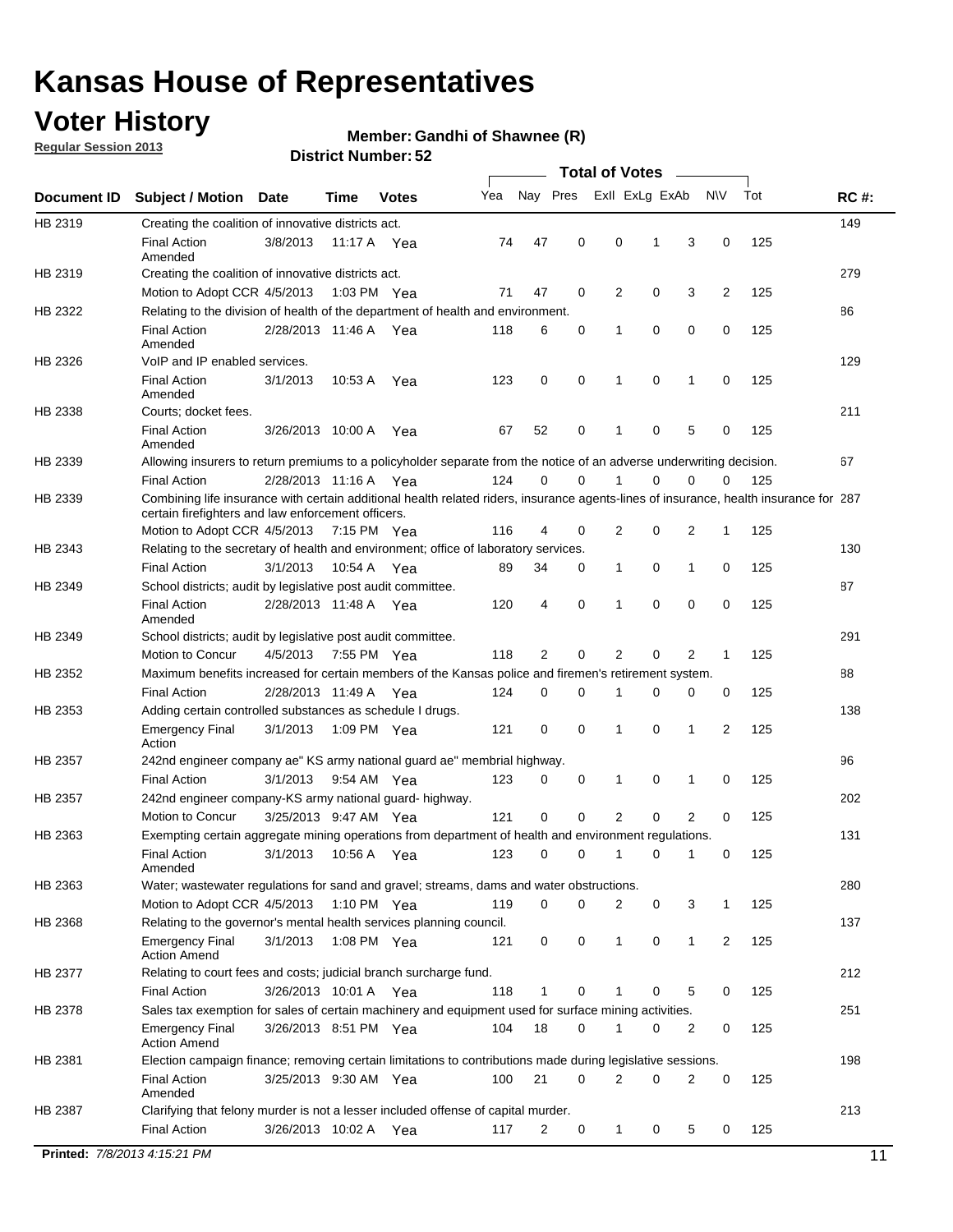## **Voter History**

**Regular Session 2013**

#### **Member: Gandhi of Shawnee (R)**

|                |                                                                                                                                                                                             |                       |             |               |     |             |             | <b>Total of Votes</b> |             |                |             |     |             |
|----------------|---------------------------------------------------------------------------------------------------------------------------------------------------------------------------------------------|-----------------------|-------------|---------------|-----|-------------|-------------|-----------------------|-------------|----------------|-------------|-----|-------------|
| Document ID    | <b>Subject / Motion</b>                                                                                                                                                                     | <b>Date</b>           | Time        | <b>Votes</b>  | Yea | Nay Pres    |             | Exll ExLg ExAb        |             |                | <b>NV</b>   | Tot | <b>RC#:</b> |
| HB 2319        | Creating the coalition of innovative districts act.                                                                                                                                         |                       |             |               |     |             |             |                       |             |                |             |     | 149         |
|                | <b>Final Action</b><br>Amended                                                                                                                                                              | 3/8/2013              | 11:17 A     | Yea           | 74  | 47          | 0           | 0                     | 1           | 3              | 0           | 125 |             |
| HB 2319        | Creating the coalition of innovative districts act.<br>Motion to Adopt CCR 4/5/2013                                                                                                         |                       |             | 1:03 PM Yea   | 71  | 47          | 0           | 2                     | 0           | 3              | 2           | 125 | 279         |
| HB 2322        | Relating to the division of health of the department of health and environment.                                                                                                             |                       |             |               |     |             |             |                       |             |                |             |     | 86          |
|                | <b>Final Action</b><br>Amended                                                                                                                                                              | 2/28/2013 11:46 A Yea |             |               | 118 | 6           | 0           | 1                     | 0           | 0              | 0           | 125 |             |
| HB 2326        | VoIP and IP enabled services.                                                                                                                                                               |                       |             |               |     |             |             |                       |             |                |             |     | 129         |
|                | <b>Final Action</b><br>Amended                                                                                                                                                              | 3/1/2013              | 10:53 A     | Yea           | 123 | $\mathbf 0$ | 0           | 1                     | $\mathbf 0$ | 1              | $\mathbf 0$ | 125 |             |
| HB 2338        | Courts; docket fees.                                                                                                                                                                        |                       |             |               |     |             |             |                       |             |                |             |     | 211         |
|                | <b>Final Action</b><br>Amended                                                                                                                                                              | 3/26/2013 10:00 A     |             | Yea           | 67  | 52          | 0           | $\mathbf 1$           | 0           | 5              | 0           | 125 |             |
| HB 2339        | Allowing insurers to return premiums to a policyholder separate from the notice of an adverse underwriting decision.                                                                        |                       |             |               |     |             |             |                       |             |                |             |     | 67          |
|                | <b>Final Action</b>                                                                                                                                                                         | 2/28/2013 11:16 A Yea |             |               | 124 | 0           | 0           | 1                     | 0           | 0              | 0           | 125 |             |
| HB 2339        | Combining life insurance with certain additional health related riders, insurance agents-lines of insurance, health insurance for 287<br>certain firefighters and law enforcement officers. |                       |             |               |     |             |             |                       |             |                |             |     |             |
|                | Motion to Adopt CCR 4/5/2013 7:15 PM Yea                                                                                                                                                    |                       |             |               | 116 | 4           | 0           | 2                     | 0           | 2              | 1           | 125 |             |
| HB 2343        | Relating to the secretary of health and environment; office of laboratory services.                                                                                                         |                       |             |               |     |             |             |                       |             |                |             |     | 130         |
|                | <b>Final Action</b>                                                                                                                                                                         | 3/1/2013              | 10:54 A Yea |               | 89  | 34          | 0           | $\mathbf{1}$          | 0           | 1              | 0           | 125 |             |
| HB 2349        | School districts; audit by legislative post audit committee.<br><b>Final Action</b>                                                                                                         | 2/28/2013 11:48 A Yea |             |               | 120 | 4           | 0           | 1                     | $\Omega$    | $\Omega$       | 0           | 125 | 87          |
|                | Amended                                                                                                                                                                                     |                       |             |               |     |             |             |                       |             |                |             |     |             |
| HB 2349        | School districts; audit by legislative post audit committee.                                                                                                                                |                       |             |               |     |             |             |                       |             |                |             |     | 291         |
|                | Motion to Concur                                                                                                                                                                            | 4/5/2013              |             | 7:55 PM Yea   | 118 | 2           | 0           | 2                     | 0           | 2              | 1           | 125 |             |
| HB 2352        | Maximum benefits increased for certain members of the Kansas police and firemen's retirement system.                                                                                        |                       |             |               |     |             |             |                       |             |                |             |     | 88          |
|                | <b>Final Action</b>                                                                                                                                                                         | 2/28/2013 11:49 A     |             | Yea           | 124 | 0           | 0           | 1                     | 0           | 0              | 0           | 125 |             |
| HB 2353        | Adding certain controlled substances as schedule I drugs.<br><b>Emergency Final</b>                                                                                                         | 3/1/2013              |             | 1:09 PM Yea   | 121 | $\mathbf 0$ | 0           | 1                     | 0           | 1              | 2           | 125 | 138         |
| HB 2357        | Action<br>242nd engineer company ae" KS army national guard ae" membrial highway.                                                                                                           |                       |             |               |     |             |             |                       |             |                |             |     | 96          |
|                | <b>Final Action</b>                                                                                                                                                                         | 3/1/2013              |             | 9:54 AM Yea   | 123 | 0           | 0           | 1                     | 0           | 1              | 0           | 125 |             |
| <b>HB 2357</b> | 242nd engineer company-KS army national guard- highway.                                                                                                                                     |                       |             |               |     |             |             |                       |             |                |             |     | 202         |
|                | Motion to Concur                                                                                                                                                                            | 3/25/2013 9:47 AM Yea |             |               | 121 | $\mathbf 0$ | $\mathbf 0$ | $\overline{2}$        | $\mathbf 0$ | $\overline{2}$ | 0           | 125 |             |
| HB 2363        | Exempting certain aggregate mining operations from department of health and environment regulations.                                                                                        |                       |             |               |     |             |             |                       |             |                |             |     | 131         |
|                | <b>Final Action</b><br>Amended                                                                                                                                                              | 3/1/2013              | 10:56 A     | Yea           | 123 | 0           | 0           | 1                     | 0           | 1              | 0           | 125 |             |
| HB 2363        | Water; wastewater regulations for sand and gravel; streams, dams and water obstructions.                                                                                                    |                       |             |               |     |             |             |                       |             |                |             |     | 280         |
|                | Motion to Adopt CCR 4/5/2013                                                                                                                                                                |                       |             | 1:10 PM $Yea$ | 119 | 0           | 0           | 2                     | 0           | 3              | 1           | 125 |             |
| HB 2368        | Relating to the governor's mental health services planning council.                                                                                                                         |                       |             |               |     |             |             |                       |             |                |             |     | 137         |
|                | <b>Emergency Final</b><br><b>Action Amend</b>                                                                                                                                               | 3/1/2013              |             | 1:08 PM Yea   | 121 | 0           | 0           | $\mathbf{1}$          | 0           | 1              | 2           | 125 |             |
| HB 2377        | Relating to court fees and costs; judicial branch surcharge fund.                                                                                                                           |                       |             |               |     |             |             |                       |             |                |             |     | 212         |
|                | <b>Final Action</b>                                                                                                                                                                         | 3/26/2013 10:01 A Yea |             |               | 118 | 1           | 0           |                       | 0           | 5              | 0           | 125 |             |
| HB 2378        | Sales tax exemption for sales of certain machinery and equipment used for surface mining activities.                                                                                        |                       |             |               |     |             |             |                       |             |                |             |     | 251         |
|                | <b>Emergency Final</b><br><b>Action Amend</b>                                                                                                                                               | 3/26/2013 8:51 PM Yea |             |               | 104 | 18          | 0           | 1                     | 0           | 2              | 0           | 125 |             |
| HB 2381        | Election campaign finance; removing certain limitations to contributions made during legislative sessions.                                                                                  |                       |             |               |     |             |             |                       |             |                |             |     | 198         |
|                | <b>Final Action</b><br>Amended                                                                                                                                                              | 3/25/2013 9:30 AM Yea |             |               | 100 | 21          | 0           | $\overline{2}$        | 0           | 2              | 0           | 125 |             |
| HB 2387        | Clarifying that felony murder is not a lesser included offense of capital murder.                                                                                                           |                       |             |               |     |             |             |                       |             |                |             |     | 213         |
|                | <b>Final Action</b>                                                                                                                                                                         | 3/26/2013 10:02 A     |             | Yea           | 117 | 2           | 0           | $\mathbf{1}$          | 0           | 5              | 0           | 125 |             |
|                | Printed: 7/8/2013 4:15:21 PM                                                                                                                                                                |                       |             |               |     |             |             |                       |             |                |             |     | 11          |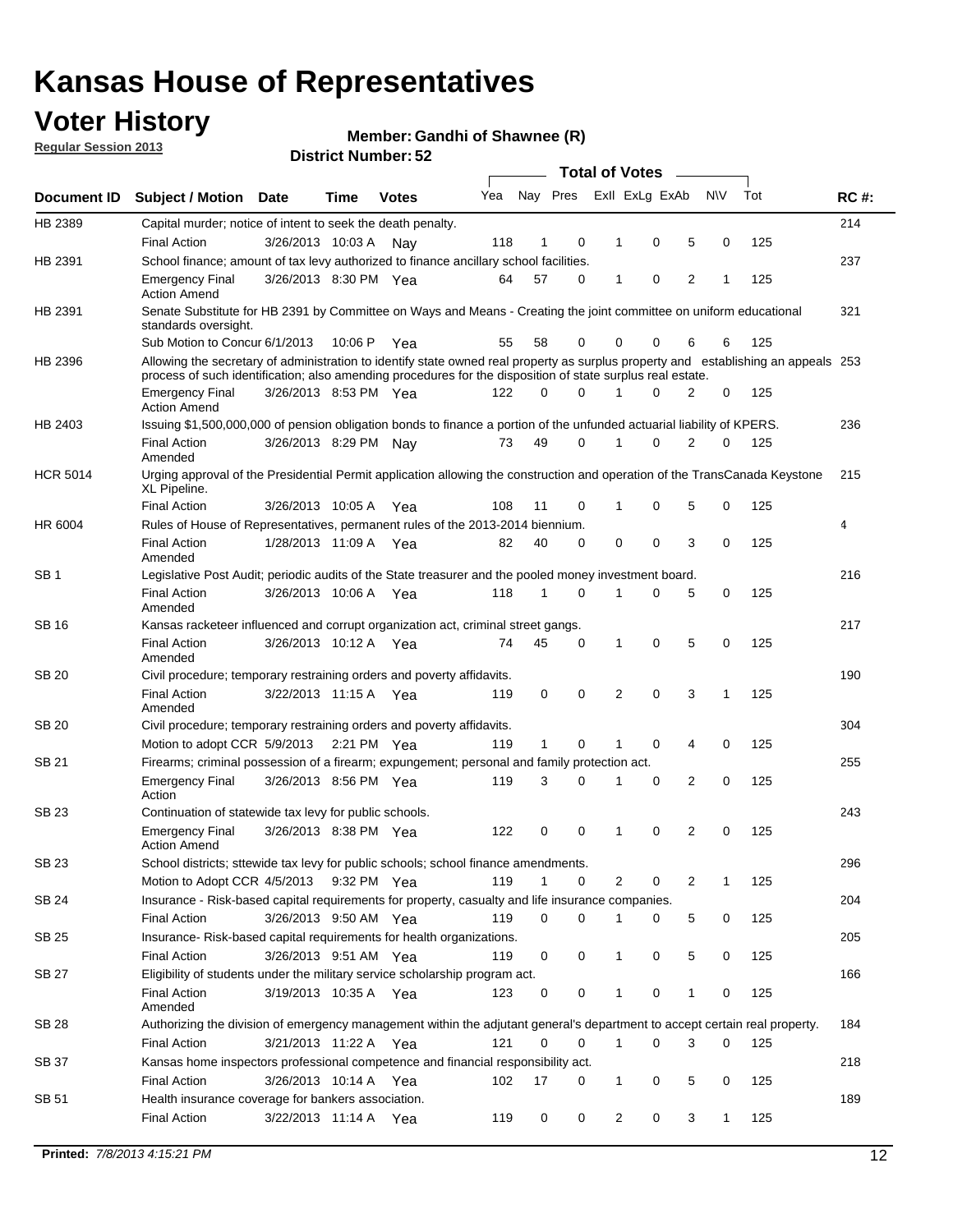## **Voter History**

**Member: Gandhi of Shawnee (R)** 

**Regular Session 2013**

|                 |                                                                                                                                                                                                                                                  |                       |         | אט <sub>י</sub> וסעווואר ועו ואטוע |     |              |             |              | <b>Total of Votes</b> | $\overline{\phantom{a}}$ |           |     |             |
|-----------------|--------------------------------------------------------------------------------------------------------------------------------------------------------------------------------------------------------------------------------------------------|-----------------------|---------|------------------------------------|-----|--------------|-------------|--------------|-----------------------|--------------------------|-----------|-----|-------------|
| Document ID     | <b>Subject / Motion Date</b>                                                                                                                                                                                                                     |                       | Time    | <b>Votes</b>                       | Yea | Nay Pres     |             |              | Exll ExLg ExAb        |                          | <b>NV</b> | Tot | <b>RC#:</b> |
| HB 2389         | Capital murder; notice of intent to seek the death penalty.                                                                                                                                                                                      |                       |         |                                    |     |              |             |              |                       |                          |           |     | 214         |
|                 | <b>Final Action</b>                                                                                                                                                                                                                              | 3/26/2013 10:03 A     |         | Nay                                | 118 | 1            | 0           | 1            | 0                     | 5                        | 0         | 125 |             |
| HB 2391         | School finance; amount of tax levy authorized to finance ancillary school facilities.                                                                                                                                                            |                       |         |                                    |     |              |             |              |                       |                          |           |     | 237         |
|                 | <b>Emergency Final</b><br><b>Action Amend</b>                                                                                                                                                                                                    | 3/26/2013 8:30 PM Yea |         |                                    | 64  | 57           | $\Omega$    | 1            | 0                     | $\overline{2}$           | 1         | 125 |             |
| HB 2391         | Senate Substitute for HB 2391 by Committee on Ways and Means - Creating the joint committee on uniform educational<br>standards oversight.                                                                                                       |                       |         |                                    |     |              |             |              |                       |                          |           |     | 321         |
|                 | Sub Motion to Concur 6/1/2013                                                                                                                                                                                                                    |                       | 10:06 P | Yea                                | 55  | 58           | 0           | 0            | 0                     | 6                        | 6         | 125 |             |
| HB 2396         | Allowing the secretary of administration to identify state owned real property as surplus property and establishing an appeals 253<br>process of such identification; also amending procedures for the disposition of state surplus real estate. |                       |         |                                    |     |              |             |              |                       |                          |           |     |             |
|                 | <b>Emergency Final</b><br><b>Action Amend</b>                                                                                                                                                                                                    | 3/26/2013 8:53 PM Yea |         |                                    | 122 | 0            | $\Omega$    |              | $\Omega$              | 2                        | 0         | 125 |             |
| HB 2403         | Issuing \$1,500,000,000 of pension obligation bonds to finance a portion of the unfunded actuarial liability of KPERS.                                                                                                                           |                       |         |                                    |     |              |             |              |                       |                          |           |     | 236         |
|                 | <b>Final Action</b><br>Amended                                                                                                                                                                                                                   | 3/26/2013 8:29 PM     |         | Nav                                | 73  | 49           | 0           | 1            | 0                     | 2                        | 0         | 125 |             |
| <b>HCR 5014</b> | Urging approval of the Presidential Permit application allowing the construction and operation of the TransCanada Keystone<br>XL Pipeline.                                                                                                       |                       |         |                                    |     |              |             |              |                       |                          |           |     | 215         |
|                 | <b>Final Action</b>                                                                                                                                                                                                                              | 3/26/2013 10:05 A     |         | Yea                                | 108 | 11           | 0           | 1            | 0                     | 5                        | 0         | 125 |             |
| HR 6004         | Rules of House of Representatives, permanent rules of the 2013-2014 biennium.                                                                                                                                                                    |                       |         |                                    |     |              |             |              |                       |                          |           |     | 4           |
|                 | <b>Final Action</b><br>Amended                                                                                                                                                                                                                   | 1/28/2013 11:09 A Yea |         |                                    | 82  | 40           | $\Omega$    | 0            | 0                     | 3                        | 0         | 125 |             |
| SB <sub>1</sub> | Legislative Post Audit; periodic audits of the State treasurer and the pooled money investment board.                                                                                                                                            |                       |         |                                    |     |              |             |              |                       |                          |           |     | 216         |
|                 | <b>Final Action</b><br>Amended                                                                                                                                                                                                                   | 3/26/2013 10:06 A     |         | Yea                                | 118 | 1            | $\Omega$    | 1            | 0                     | 5                        | 0         | 125 |             |
| SB 16           | Kansas racketeer influenced and corrupt organization act, criminal street gangs.                                                                                                                                                                 |                       |         |                                    |     |              |             |              |                       |                          |           |     | 217         |
|                 | <b>Final Action</b><br>Amended                                                                                                                                                                                                                   | 3/26/2013 10:12 A Yea |         |                                    | 74  | 45           | 0           | 1            | 0                     | 5                        | 0         | 125 |             |
| <b>SB 20</b>    | Civil procedure; temporary restraining orders and poverty affidavits.                                                                                                                                                                            |                       |         |                                    |     |              |             |              |                       |                          |           |     | 190         |
|                 | <b>Final Action</b><br>Amended                                                                                                                                                                                                                   | 3/22/2013 11:15 A     |         | Yea                                | 119 | 0            | 0           | 2            | $\Omega$              | 3                        | 1         | 125 |             |
| SB 20           | Civil procedure; temporary restraining orders and poverty affidavits.                                                                                                                                                                            |                       |         |                                    |     |              |             |              |                       |                          |           |     | 304         |
|                 | Motion to adopt CCR 5/9/2013                                                                                                                                                                                                                     |                       |         | 2:21 PM Yea                        | 119 | $\mathbf{1}$ | 0           | 1            | 0                     | 4                        | 0         | 125 |             |
| <b>SB 21</b>    | Firearms; criminal possession of a firearm; expungement; personal and family protection act.                                                                                                                                                     |                       |         |                                    |     |              |             |              |                       |                          |           |     | 255         |
|                 | <b>Emergency Final</b><br>Action                                                                                                                                                                                                                 | 3/26/2013 8:56 PM Yea |         |                                    | 119 | 3            | $\Omega$    | 1            | 0                     | 2                        | 0         | 125 |             |
| <b>SB 23</b>    | Continuation of statewide tax levy for public schools.                                                                                                                                                                                           |                       |         |                                    |     |              |             |              |                       |                          |           |     | 243         |
|                 | <b>Emergency Final</b><br><b>Action Amend</b>                                                                                                                                                                                                    | 3/26/2013 8:38 PM Yea |         |                                    | 122 | 0            | 0           | 1            | 0                     | 2                        | 0         | 125 |             |
| SB 23           | School districts; sttewide tax levy for public schools; school finance amendments.                                                                                                                                                               |                       |         |                                    |     |              |             |              |                       |                          |           |     | 296         |
|                 | Motion to Adopt CCR 4/5/2013                                                                                                                                                                                                                     |                       |         | 9:32 PM Yea                        | 119 | 1            | 0           |              | 2<br>0                | 2                        | 1         | 125 |             |
| <b>SB 24</b>    | Insurance - Risk-based capital requirements for property, casualty and life insurance companies.                                                                                                                                                 |                       |         |                                    |     |              |             |              |                       |                          |           |     | 204         |
|                 | Final Action                                                                                                                                                                                                                                     | 3/26/2013 9:50 AM Yea |         |                                    | 119 | 0            | 0           | 1            | 0                     | 5                        | 0         | 125 |             |
| <b>SB 25</b>    | Insurance-Risk-based capital requirements for health organizations.                                                                                                                                                                              |                       |         |                                    |     |              |             |              |                       |                          |           |     | 205         |
|                 | Final Action                                                                                                                                                                                                                                     | 3/26/2013 9:51 AM Yea |         |                                    | 119 | 0            | 0           | 1            | 0                     | 5                        | 0         | 125 |             |
| <b>SB 27</b>    | Eligibility of students under the military service scholarship program act.                                                                                                                                                                      |                       |         |                                    |     |              |             |              |                       |                          |           |     | 166         |
|                 | <b>Final Action</b><br>Amended                                                                                                                                                                                                                   | 3/19/2013 10:35 A Yea |         |                                    | 123 | 0            | 0           |              | 0                     | 1                        | 0         | 125 |             |
| SB 28           | Authorizing the division of emergency management within the adjutant general's department to accept certain real property.                                                                                                                       |                       |         |                                    |     |              |             |              |                       |                          |           |     | 184         |
|                 | <b>Final Action</b>                                                                                                                                                                                                                              | 3/21/2013 11:22 A Yea |         |                                    | 121 | 0            | $\mathbf 0$ | $\mathbf{1}$ | 0                     | 3                        | 0         | 125 |             |
| SB 37           | Kansas home inspectors professional competence and financial responsibility act.                                                                                                                                                                 |                       |         |                                    |     |              |             |              |                       |                          |           |     | 218         |
|                 | <b>Final Action</b>                                                                                                                                                                                                                              | 3/26/2013 10:14 A Yea |         |                                    | 102 | 17           | 0           | 1            | 0                     | 5                        | 0         | 125 |             |
| SB 51           | Health insurance coverage for bankers association.                                                                                                                                                                                               |                       |         |                                    |     |              |             |              |                       |                          |           |     | 189         |
|                 | Final Action                                                                                                                                                                                                                                     | 3/22/2013 11:14 A Yea |         |                                    | 119 | 0            | 0           |              | 2<br>0                | 3                        | 1         | 125 |             |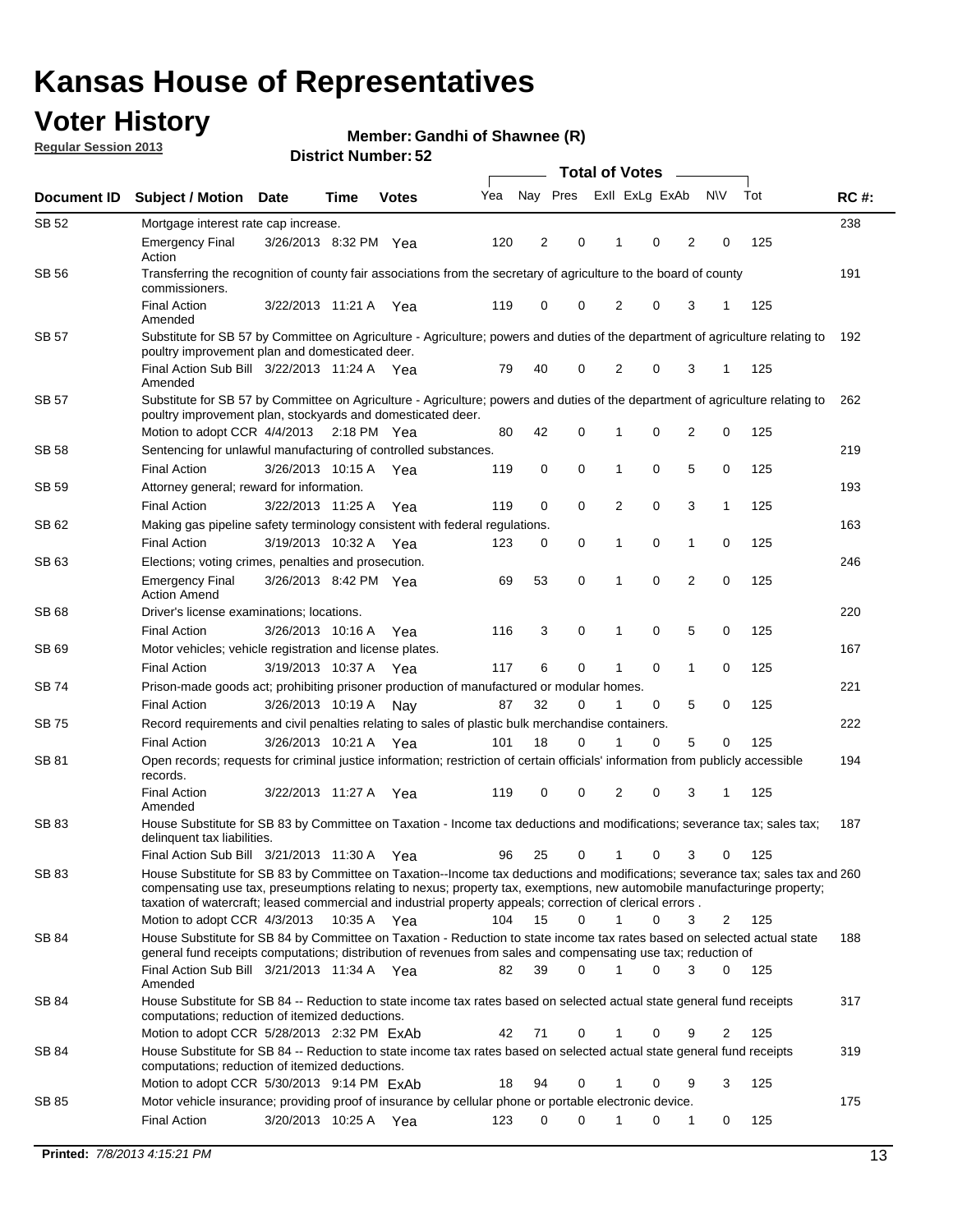## **Voter History**

**Member: Gandhi of Shawnee (R)** 

**Regular Session 2013**

| Document ID  | <b>Subject / Motion Date</b>                                                                                                                                                                                                               |                       | Time        | <b>Votes</b> | Yea | Nay Pres |             | Exll ExLg ExAb |   |                | <b>NV</b>      | Tot | <b>RC#:</b> |
|--------------|--------------------------------------------------------------------------------------------------------------------------------------------------------------------------------------------------------------------------------------------|-----------------------|-------------|--------------|-----|----------|-------------|----------------|---|----------------|----------------|-----|-------------|
| SB 52        | Mortgage interest rate cap increase.                                                                                                                                                                                                       |                       |             |              |     |          |             |                |   |                |                |     | 238         |
|              | <b>Emergency Final</b><br>Action                                                                                                                                                                                                           | 3/26/2013 8:32 PM Yea |             |              | 120 | 2        | 0           |                | 0 | 2              | 0              | 125 |             |
| SB 56        | Transferring the recognition of county fair associations from the secretary of agriculture to the board of county<br>commissioners.                                                                                                        |                       |             |              |     |          |             |                |   |                |                |     | 191         |
|              | <b>Final Action</b><br>Amended                                                                                                                                                                                                             | 3/22/2013 11:21 A     |             | Yea          | 119 | 0        | 0           | 2              | 0 | 3              | 1              | 125 |             |
| SB 57        | Substitute for SB 57 by Committee on Agriculture - Agriculture; powers and duties of the department of agriculture relating to<br>poultry improvement plan and domesticated deer.                                                          |                       |             |              |     |          |             |                |   |                |                |     | 192         |
|              | Final Action Sub Bill 3/22/2013 11:24 A Yea<br>Amended                                                                                                                                                                                     |                       |             |              | 79  | 40       | 0           | 2              | 0 | 3              | 1              | 125 |             |
| SB 57        | Substitute for SB 57 by Committee on Agriculture - Agriculture; powers and duties of the department of agriculture relating to<br>poultry improvement plan, stockyards and domesticated deer.                                              |                       |             |              |     |          |             |                |   |                |                |     | 262         |
|              | Motion to adopt CCR 4/4/2013 2:18 PM Yea                                                                                                                                                                                                   |                       |             |              | 80  | 42       | 0           | 1              | 0 | 2              | 0              | 125 |             |
| SB 58        | Sentencing for unlawful manufacturing of controlled substances.                                                                                                                                                                            |                       |             |              |     |          |             |                |   |                |                |     | 219         |
|              | <b>Final Action</b>                                                                                                                                                                                                                        | 3/26/2013 10:15 A     |             | Yea          | 119 | 0        | 0           | 1              | 0 | 5              | 0              | 125 |             |
| <b>SB 59</b> | Attorney general; reward for information.                                                                                                                                                                                                  |                       |             |              |     |          |             |                |   |                |                |     | 193         |
|              | <b>Final Action</b>                                                                                                                                                                                                                        | 3/22/2013 11:25 A     |             | Yea          | 119 | 0        | 0           | 2              | 0 | 3              | 1              | 125 |             |
| SB 62        | Making gas pipeline safety terminology consistent with federal regulations.                                                                                                                                                                |                       |             |              |     |          |             |                |   |                |                |     | 163         |
|              | <b>Final Action</b>                                                                                                                                                                                                                        | 3/19/2013 10:32 A     |             | Yea          | 123 | 0        | 0           | 1              | 0 | 1              | 0              | 125 |             |
| SB 63        | Elections; voting crimes, penalties and prosecution.                                                                                                                                                                                       |                       |             |              |     |          |             |                |   |                |                |     | 246         |
|              | <b>Emergency Final</b><br><b>Action Amend</b>                                                                                                                                                                                              | 3/26/2013 8:42 PM Yea |             |              | 69  | 53       | $\mathbf 0$ | 1              | 0 | $\overline{2}$ | $\mathbf 0$    | 125 |             |
| SB 68        | Driver's license examinations; locations.                                                                                                                                                                                                  |                       |             |              |     |          |             |                |   |                |                |     | 220         |
|              | <b>Final Action</b>                                                                                                                                                                                                                        | 3/26/2013 10:16 A     |             | Yea          | 116 | 3        | 0           | 1              | 0 | 5              | 0              | 125 |             |
| SB 69        | Motor vehicles; vehicle registration and license plates.                                                                                                                                                                                   |                       |             |              |     |          |             |                |   |                |                |     | 167         |
|              | <b>Final Action</b>                                                                                                                                                                                                                        | 3/19/2013 10:37 A     |             | Yea          | 117 | 6        | 0           | 1              | 0 | $\mathbf{1}$   | 0              | 125 |             |
| SB 74        | Prison-made goods act; prohibiting prisoner production of manufactured or modular homes.                                                                                                                                                   |                       |             |              |     |          |             |                |   |                |                |     | 221         |
|              | <b>Final Action</b>                                                                                                                                                                                                                        | 3/26/2013 10:19 A     |             | Nay          | 87  | 32       | 0           | 1              | 0 | 5              | 0              | 125 |             |
| SB 75        | Record requirements and civil penalties relating to sales of plastic bulk merchandise containers.                                                                                                                                          |                       |             |              |     |          |             |                |   |                |                |     | 222         |
|              | <b>Final Action</b>                                                                                                                                                                                                                        | 3/26/2013 10:21 A     |             | Yea          | 101 | 18       | 0           | 1              | 0 | 5              | 0              | 125 |             |
| SB 81        | Open records; requests for criminal justice information; restriction of certain officials' information from publicly accessible<br>records.<br><b>Final Action</b>                                                                         |                       |             |              |     | 0        | 0           | 2              | 0 | 3              |                | 125 | 194         |
|              | Amended                                                                                                                                                                                                                                    | 3/22/2013 11:27 A     |             | Yea          | 119 |          |             |                |   |                |                |     |             |
| <b>SB 83</b> | House Substitute for SB 83 by Committee on Taxation - Income tax deductions and modifications; severance tax; sales tax;<br>delinquent tax liabilities.<br>Final Action Sub Bill 3/21/2013 11:30 A Yea                                     |                       |             |              | 96  | 25       | 0           | 1              | 0 | 3              | 0              | 125 | 187         |
| SB 83        | House Substitute for SB 83 by Committee on Taxation--Income tax deductions and modifications; severance tax; sales tax and 260                                                                                                             |                       |             |              |     |          |             |                |   |                |                |     |             |
|              | compensating use tax, preseumptions relating to nexus; property tax, exemptions, new automobile manufacturinge property;<br>taxation of watercraft; leased commercial and industrial property appeals; correction of clerical errors.      |                       |             |              |     |          |             |                |   |                |                |     |             |
|              | Motion to adopt CCR 4/3/2013                                                                                                                                                                                                               |                       | 10:35 A Yea |              | 104 | 15       | 0           | $\mathbf{1}$   | 0 | 3              | 2              | 125 |             |
| SB 84        | House Substitute for SB 84 by Committee on Taxation - Reduction to state income tax rates based on selected actual state<br>general fund receipts computations; distribution of revenues from sales and compensating use tax; reduction of |                       |             |              |     |          | $\Omega$    |                | 0 | 3              | $\Omega$       |     | 188         |
| SB 84        | Final Action Sub Bill 3/21/2013 11:34 A Yea<br>Amended<br>House Substitute for SB 84 -- Reduction to state income tax rates based on selected actual state general fund receipts                                                           |                       |             |              | 82  | 39       |             |                |   |                |                | 125 | 317         |
|              | computations; reduction of itemized deductions.<br>Motion to adopt CCR 5/28/2013 2:32 PM ExAb                                                                                                                                              |                       |             |              | 42  | 71       | 0           |                | 0 | 9              | $\overline{2}$ | 125 |             |
| SB 84        | House Substitute for SB 84 -- Reduction to state income tax rates based on selected actual state general fund receipts                                                                                                                     |                       |             |              |     |          |             |                |   |                |                |     | 319         |
|              | computations; reduction of itemized deductions.<br>Motion to adopt CCR 5/30/2013 9:14 PM ExAb                                                                                                                                              |                       |             |              | 18  | 94       | 0           |                | 0 | 9              | 3              | 125 |             |
| SB 85        | Motor vehicle insurance; providing proof of insurance by cellular phone or portable electronic device.                                                                                                                                     |                       |             |              |     |          |             |                |   |                |                |     | 175         |
|              | <b>Final Action</b>                                                                                                                                                                                                                        | 3/20/2013 10:25 A Yea |             |              | 123 | 0        | $\Omega$    |                | 0 | 1              | 0              | 125 |             |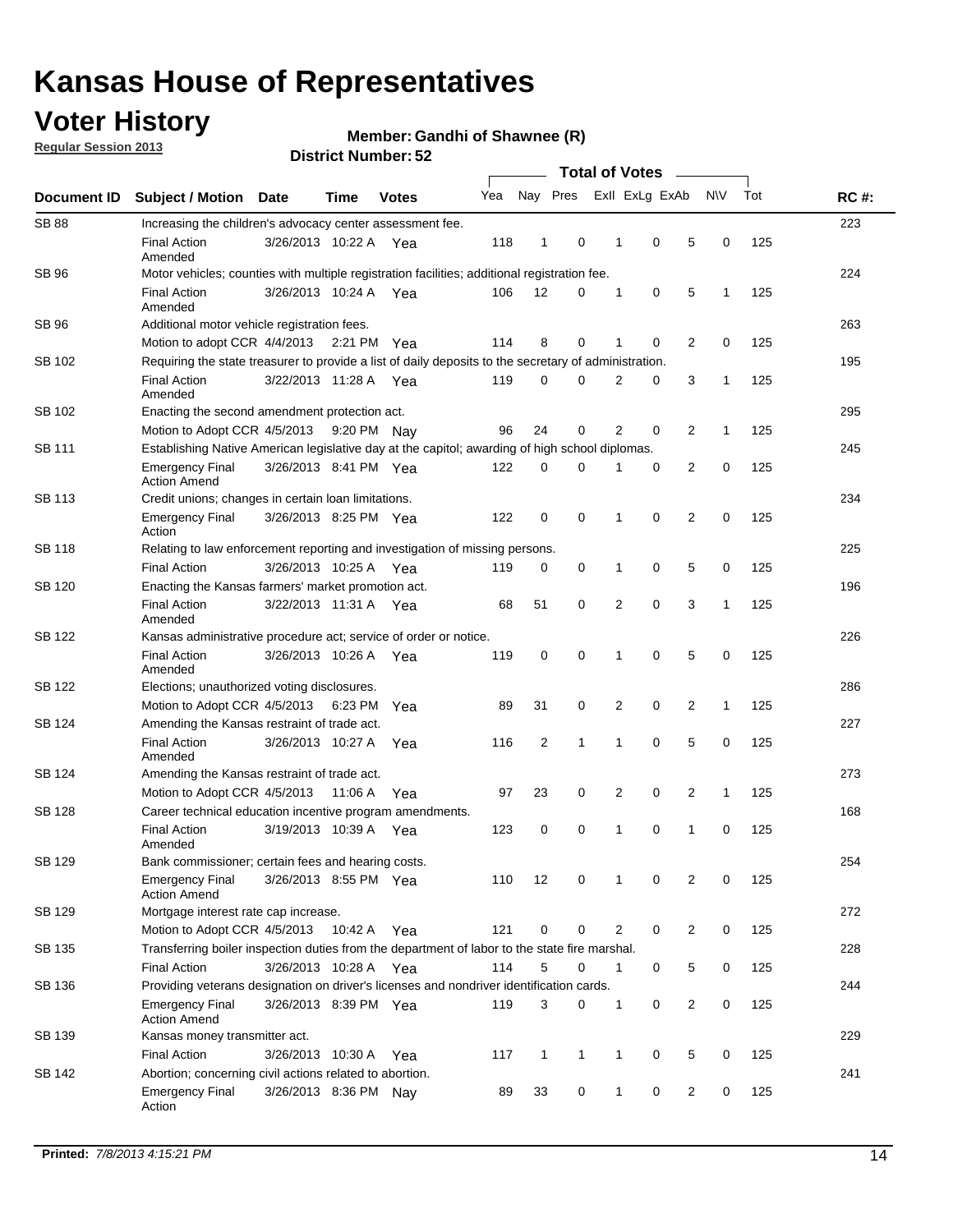## **Voter History**

**Regular Session 2013**

**Member: Gandhi of Shawnee (R)** 

|                    |                                                                                                       | אט וסמווואז ועווסו    |             | <b>Total of Votes</b> |     |                |              |  |              |                |                |              |     |             |
|--------------------|-------------------------------------------------------------------------------------------------------|-----------------------|-------------|-----------------------|-----|----------------|--------------|--|--------------|----------------|----------------|--------------|-----|-------------|
| <b>Document ID</b> | <b>Subject / Motion</b>                                                                               | <b>Date</b>           | Time        | <b>Votes</b>          | Yea |                | Nay Pres     |  |              | Exll ExLg ExAb |                | N\V          | Tot | <b>RC#:</b> |
| <b>SB 88</b>       | Increasing the children's advocacy center assessment fee.                                             |                       |             |                       |     |                |              |  |              |                |                |              |     | 223         |
|                    | <b>Final Action</b><br>Amended                                                                        | 3/26/2013 10:22 A Yea |             |                       | 118 | $\mathbf{1}$   | 0            |  | 1            | 0              | 5              | 0            | 125 |             |
| SB 96              | Motor vehicles; counties with multiple registration facilities; additional registration fee.          |                       |             |                       |     |                |              |  |              |                |                |              |     | 224         |
|                    | <b>Final Action</b><br>Amended                                                                        | 3/26/2013 10:24 A     |             | Yea                   | 106 | 12             | 0            |  | 1            | 0              | 5              | 1            | 125 |             |
| SB 96              | Additional motor vehicle registration fees.                                                           |                       |             |                       |     |                |              |  |              |                |                |              |     | 263         |
|                    | Motion to adopt CCR 4/4/2013 2:21 PM Yea                                                              |                       |             |                       | 114 | 8              | $\mathbf 0$  |  | 1            | 0              | 2              | 0            | 125 |             |
| SB 102             | Requiring the state treasurer to provide a list of daily deposits to the secretary of administration. |                       |             |                       |     |                |              |  |              |                |                |              |     | 195         |
|                    | <b>Final Action</b><br>Amended                                                                        | 3/22/2013 11:28 A Yea |             |                       | 119 | 0              | 0            |  | 2            | 0              | 3              | 1            | 125 |             |
| SB 102             | Enacting the second amendment protection act.                                                         |                       |             |                       |     |                |              |  |              |                |                |              |     | 295         |
|                    | Motion to Adopt CCR 4/5/2013                                                                          |                       | 9:20 PM Nay |                       | 96  | 24             | 0            |  | 2            | 0              | $\overline{2}$ | $\mathbf{1}$ | 125 |             |
| <b>SB 111</b>      | Establishing Native American legislative day at the capitol; awarding of high school diplomas.        |                       |             |                       |     |                |              |  |              |                |                |              | 245 |             |
|                    | <b>Emergency Final</b><br><b>Action Amend</b>                                                         | 3/26/2013 8:41 PM Yea |             |                       | 122 | $\mathbf 0$    | $\Omega$     |  |              | 0              | 2              | 0            | 125 |             |
| SB 113             | Credit unions; changes in certain loan limitations.                                                   |                       |             |                       |     |                |              |  |              |                |                |              |     | 234         |
|                    | <b>Emergency Final</b><br>Action                                                                      | 3/26/2013 8:25 PM Yea |             |                       | 122 | $\mathbf 0$    | 0            |  | 1            | 0              | $\overline{2}$ | $\mathbf 0$  | 125 |             |
| <b>SB 118</b>      | Relating to law enforcement reporting and investigation of missing persons.                           |                       |             |                       |     |                |              |  |              |                |                |              |     | 225         |
|                    | <b>Final Action</b>                                                                                   | 3/26/2013 10:25 A Yea |             |                       | 119 | 0              | 0            |  | 1            | 0              | 5              | 0            | 125 |             |
| SB 120             | Enacting the Kansas farmers' market promotion act.                                                    |                       |             |                       |     |                |              |  |              |                |                |              |     | 196         |
|                    | <b>Final Action</b><br>Amended                                                                        | 3/22/2013 11:31 A Yea |             |                       | 68  | 51             | 0            |  | 2            | $\mathbf 0$    | 3              | 1            | 125 |             |
| SB 122             | Kansas administrative procedure act; service of order or notice.                                      |                       |             |                       |     |                |              |  |              |                |                |              |     | 226         |
|                    | <b>Final Action</b><br>Amended                                                                        | 3/26/2013 10:26 A Yea |             |                       | 119 | 0              | $\mathbf 0$  |  | 1            | 0              | 5              | 0            | 125 |             |
| <b>SB 122</b>      | Elections; unauthorized voting disclosures.                                                           |                       |             |                       |     |                |              |  |              |                |                |              |     | 286         |
|                    | Motion to Adopt CCR 4/5/2013                                                                          |                       | 6:23 PM     | Yea                   | 89  | 31             | 0            |  | 2            | 0              | $\overline{c}$ | $\mathbf{1}$ | 125 |             |
| SB 124             | Amending the Kansas restraint of trade act.                                                           |                       |             |                       |     |                |              |  |              |                |                |              |     | 227         |
|                    | <b>Final Action</b><br>Amended                                                                        | 3/26/2013 10:27 A     |             | Yea                   | 116 | $\overline{2}$ | 1            |  | 1            | $\mathbf 0$    | 5              | $\mathbf 0$  | 125 |             |
| SB 124             | Amending the Kansas restraint of trade act.                                                           |                       |             |                       |     |                |              |  |              |                |                |              |     | 273         |
|                    | Motion to Adopt CCR 4/5/2013                                                                          |                       | 11:06 A     | Yea                   | 97  | 23             | 0            |  | 2            | 0              | 2              | 1            | 125 |             |
| <b>SB 128</b>      | Career technical education incentive program amendments.                                              |                       |             |                       |     |                |              |  |              |                |                |              |     | 168         |
|                    | <b>Final Action</b><br>Amended                                                                        | 3/19/2013 10:39 A     |             | Yea                   | 123 | 0              | 0            |  | 1            | 0              | 1              | 0            | 125 |             |
| SB 129             | Bank commissioner; certain fees and hearing costs.                                                    |                       |             |                       |     |                |              |  |              |                |                |              |     | 254         |
|                    | Emergency Final<br><b>Action Amend</b>                                                                | 3/26/2013 8:55 PM Yea |             |                       | 110 | 12             | 0            |  | 1            | 0              | 2              | 0            | 125 |             |
| <b>SB 129</b>      | Mortgage interest rate cap increase.                                                                  |                       |             |                       |     |                |              |  |              |                |                |              |     | 272         |
|                    | Motion to Adopt CCR 4/5/2013                                                                          |                       | 10:42 A Yea |                       | 121 | $\mathbf 0$    | 0            |  | 2            | 0              | 2              | 0            | 125 |             |
| SB 135             | Transferring boiler inspection duties from the department of labor to the state fire marshal.         |                       |             |                       |     |                |              |  |              |                |                |              |     | 228         |
|                    | <b>Final Action</b>                                                                                   | 3/26/2013 10:28 A Yea |             |                       | 114 | 5              | 0            |  | $\mathbf{1}$ | 0              | 5              | 0            | 125 |             |
| SB 136             | Providing veterans designation on driver's licenses and nondriver identification cards.               |                       |             |                       |     |                |              |  |              |                |                |              |     | 244         |
|                    | Emergency Final<br><b>Action Amend</b>                                                                | 3/26/2013 8:39 PM Yea |             |                       | 119 | 3              | 0            |  | 1            | 0              | 2              | 0            | 125 |             |
| SB 139             | Kansas money transmitter act.                                                                         |                       |             |                       |     |                |              |  |              |                |                |              |     | 229         |
|                    | <b>Final Action</b>                                                                                   | 3/26/2013 10:30 A Yea |             |                       | 117 | $\mathbf{1}$   | $\mathbf{1}$ |  | 1            | 0              | 5              | 0            | 125 |             |
| SB 142             | Abortion; concerning civil actions related to abortion.                                               |                       |             |                       |     |                |              |  |              |                |                |              |     | 241         |
|                    | <b>Emergency Final</b><br>Action                                                                      | 3/26/2013 8:36 PM Nay |             |                       | 89  | 33             | 0            |  | 1            | 0              | $\overline{2}$ | $\mathbf 0$  | 125 |             |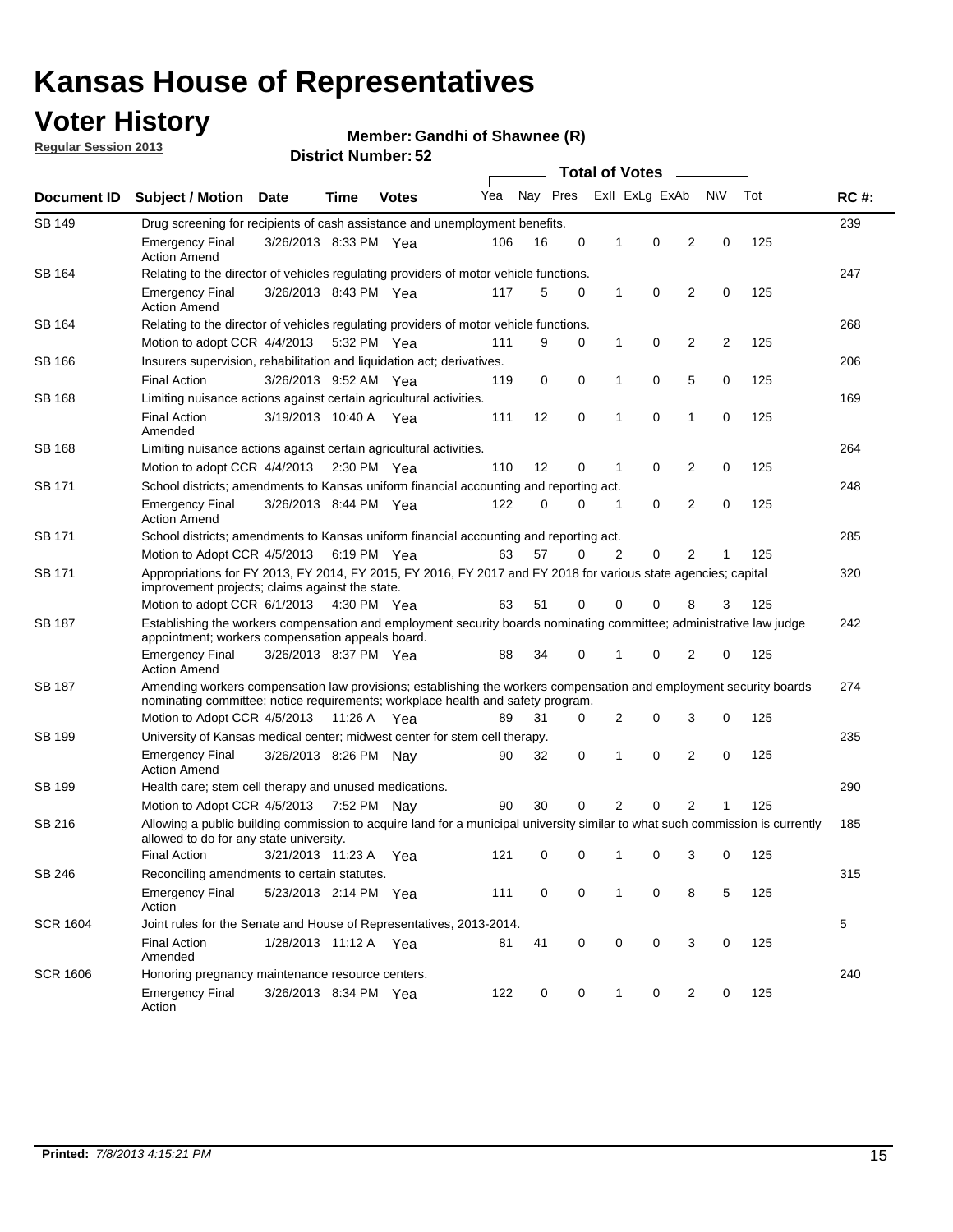## **Voter History**

**Member: Gandhi of Shawnee (R)** 

**Regular Session 2013**

|                 |                                                                                                                                                                                                       |                       |         |                       | <b>Total of Votes</b> |          |   |              |                |                |                |     |             |
|-----------------|-------------------------------------------------------------------------------------------------------------------------------------------------------------------------------------------------------|-----------------------|---------|-----------------------|-----------------------|----------|---|--------------|----------------|----------------|----------------|-----|-------------|
| Document ID     | <b>Subject / Motion Date</b>                                                                                                                                                                          |                       | Time    | <b>Votes</b>          | Yea                   | Nay Pres |   |              | Exll ExLg ExAb |                | <b>NV</b>      | Tot | <b>RC#:</b> |
| <b>SB 149</b>   | Drug screening for recipients of cash assistance and unemployment benefits.                                                                                                                           |                       |         |                       |                       |          |   |              |                |                |                |     | 239         |
|                 | <b>Emergency Final</b><br><b>Action Amend</b>                                                                                                                                                         | 3/26/2013 8:33 PM Yea |         |                       | 106                   | 16       | 0 | 1            | 0              | 2              | 0              | 125 |             |
| SB 164          | Relating to the director of vehicles regulating providers of motor vehicle functions.                                                                                                                 |                       |         |                       |                       |          |   |              |                |                |                |     | 247         |
|                 | <b>Emergency Final</b><br><b>Action Amend</b>                                                                                                                                                         | 3/26/2013 8:43 PM Yea |         |                       | 117                   | 5        | 0 | $\mathbf{1}$ | 0              | 2              | 0              | 125 |             |
| SB 164          | Relating to the director of vehicles regulating providers of motor vehicle functions.                                                                                                                 |                       |         |                       |                       |          |   |              |                |                |                |     | 268         |
|                 | Motion to adopt CCR 4/4/2013 5:32 PM Yea                                                                                                                                                              |                       |         |                       | 111                   | 9        | 0 | $\mathbf{1}$ | 0              | 2              | $\overline{2}$ | 125 |             |
| SB 166          | Insurers supervision, rehabilitation and liquidation act; derivatives.                                                                                                                                |                       |         |                       |                       |          |   |              |                |                |                |     | 206         |
|                 | <b>Final Action</b>                                                                                                                                                                                   | 3/26/2013 9:52 AM Yea |         |                       | 119                   | 0        | 0 | 1            | 0              | 5              | 0              | 125 |             |
| <b>SB 168</b>   | Limiting nuisance actions against certain agricultural activities.                                                                                                                                    |                       |         |                       |                       |          |   |              |                |                |                |     | 169         |
|                 | <b>Final Action</b><br>Amended                                                                                                                                                                        | 3/19/2013 10:40 A Yea |         |                       | 111                   | 12       | 0 | 1            | 0              | 1              | 0              | 125 |             |
| <b>SB 168</b>   | Limiting nuisance actions against certain agricultural activities.                                                                                                                                    |                       |         |                       |                       |          |   |              |                |                |                |     | 264         |
|                 | Motion to adopt CCR 4/4/2013                                                                                                                                                                          |                       |         | $2:30 \text{ PM}$ Yea | 110                   | 12       | 0 | 1            | 0              | 2              | 0              | 125 |             |
| SB 171          | School districts; amendments to Kansas uniform financial accounting and reporting act.                                                                                                                |                       |         |                       |                       |          |   |              |                |                |                |     | 248         |
|                 | <b>Emergency Final</b><br><b>Action Amend</b>                                                                                                                                                         | 3/26/2013 8:44 PM Yea |         |                       | 122                   | 0        | 0 | 1            | 0              | 2              | 0              | 125 |             |
| SB 171          | School districts; amendments to Kansas uniform financial accounting and reporting act.                                                                                                                |                       |         |                       |                       |          |   |              |                |                |                |     | 285         |
|                 | Motion to Adopt CCR 4/5/2013 6:19 PM Yea                                                                                                                                                              |                       |         |                       | 63                    | 57       | 0 | 2            | 0              | 2              |                | 125 |             |
| SB 171          | Appropriations for FY 2013, FY 2014, FY 2015, FY 2016, FY 2017 and FY 2018 for various state agencies; capital<br>improvement projects; claims against the state.                                     |                       |         |                       |                       |          |   |              |                |                |                |     | 320         |
|                 | Motion to adopt CCR 6/1/2013 4:30 PM Yea                                                                                                                                                              |                       |         |                       | 63                    | 51       | 0 | 0            | 0              | 8              | 3              | 125 |             |
| SB 187          | Establishing the workers compensation and employment security boards nominating committee; administrative law judge<br>appointment; workers compensation appeals board.                               |                       |         |                       |                       |          |   |              |                |                |                |     | 242         |
|                 | <b>Emergency Final</b><br><b>Action Amend</b>                                                                                                                                                         | 3/26/2013 8:37 PM Yea |         |                       | 88                    | 34       | 0 | 1            | 0              | 2              | 0              | 125 |             |
| SB 187          | Amending workers compensation law provisions; establishing the workers compensation and employment security boards<br>nominating committee; notice requirements; workplace health and safety program. |                       |         |                       |                       |          |   |              |                |                |                |     | 274         |
|                 | Motion to Adopt CCR 4/5/2013 11:26 A Yea                                                                                                                                                              |                       |         |                       | 89                    | 31       | 0 | 2            | 0              | 3              | 0              | 125 |             |
| SB 199          | University of Kansas medical center; midwest center for stem cell therapy.                                                                                                                            |                       |         |                       |                       |          |   |              |                |                |                |     | 235         |
|                 | <b>Emergency Final</b><br><b>Action Amend</b>                                                                                                                                                         | 3/26/2013 8:26 PM Nav |         |                       | 90                    | 32       | 0 | 1            | 0              | $\overline{2}$ | 0              | 125 |             |
| SB 199          | Health care; stem cell therapy and unused medications.                                                                                                                                                |                       |         |                       |                       |          |   |              |                |                |                |     | 290         |
|                 | Motion to Adopt CCR 4/5/2013                                                                                                                                                                          |                       | 7:52 PM | Nav                   | 90                    | 30       | 0 | 2            | 0              | 2              | 1              | 125 |             |
| SB 216          | Allowing a public building commission to acquire land for a municipal university similar to what such commission is currently<br>allowed to do for any state university.                              |                       |         |                       |                       |          |   |              |                |                |                |     | 185         |
|                 | <b>Final Action</b>                                                                                                                                                                                   | 3/21/2013 11:23 A     |         | Yea                   | 121                   | 0        | 0 | 1            | 0              | 3              | 0              | 125 |             |
| <b>SB 246</b>   | Reconciling amendments to certain statutes.                                                                                                                                                           |                       |         |                       |                       |          |   |              |                |                |                |     | 315         |
|                 | <b>Emergency Final</b><br>Action                                                                                                                                                                      | 5/23/2013 2:14 PM Yea |         |                       | 111                   | 0        | 0 | 1            | 0              | 8              | 5              | 125 |             |
| <b>SCR 1604</b> | Joint rules for the Senate and House of Representatives, 2013-2014.                                                                                                                                   |                       |         |                       |                       |          |   |              |                |                |                |     | 5           |
|                 | <b>Final Action</b><br>Amended                                                                                                                                                                        | 1/28/2013 11:12 A Yea |         |                       | 81                    | 41       | 0 | 0            | 0              | 3              | 0              | 125 |             |
| <b>SCR 1606</b> | Honoring pregnancy maintenance resource centers.                                                                                                                                                      |                       |         |                       |                       |          |   |              |                |                |                |     | 240         |
|                 | <b>Emergency Final</b><br>Action                                                                                                                                                                      | 3/26/2013 8:34 PM Yea |         |                       | 122                   | 0        | 0 | 1            | 0              | 2              | 0              | 125 |             |